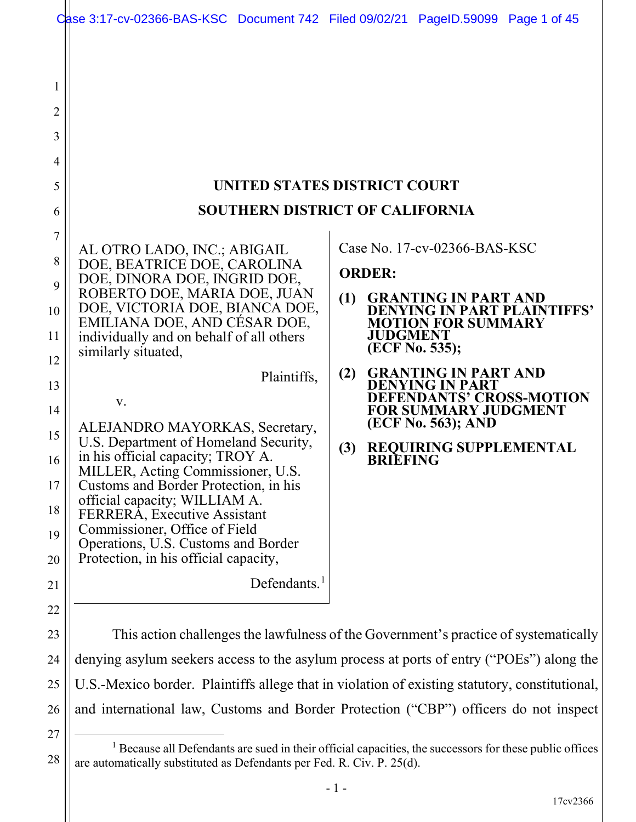|                                                                                           | Case 3:17-cv-02366-BAS-KSC Document 742 Filed 09/02/21 PageID.59099 Page 1 of 45                                                                                                                                                                                                                                                                                                                                                                                                                                                                                                                                                                                                                 |                                                                                                                                                                                                                                                                                                                                                                                                            |
|-------------------------------------------------------------------------------------------|--------------------------------------------------------------------------------------------------------------------------------------------------------------------------------------------------------------------------------------------------------------------------------------------------------------------------------------------------------------------------------------------------------------------------------------------------------------------------------------------------------------------------------------------------------------------------------------------------------------------------------------------------------------------------------------------------|------------------------------------------------------------------------------------------------------------------------------------------------------------------------------------------------------------------------------------------------------------------------------------------------------------------------------------------------------------------------------------------------------------|
| 1<br>$\overline{2}$<br>3<br>$\overline{4}$<br>5<br>6                                      |                                                                                                                                                                                                                                                                                                                                                                                                                                                                                                                                                                                                                                                                                                  | UNITED STATES DISTRICT COURT<br><b>SOUTHERN DISTRICT OF CALIFORNIA</b>                                                                                                                                                                                                                                                                                                                                     |
| 7<br>8<br>9<br>10<br>11<br>12<br>13<br>14<br>15<br>16<br>17<br>18<br>19<br>20<br>21<br>22 | AL OTRO LADO, INC.; ABIGAIL<br>DOE, BEATRICE DOE, CAROLINA<br>DOE, DINORA DOE, INGRID DOE,<br>ROBERTO DOE, MARIA DOE, JUAN<br>DOE, VICTORIA DOE, BIANCA DOE,<br>EMILIANA DOE, AND CESAR DOE,<br>individually and on behalf of all others<br>similarly situated,<br>Plaintiffs,<br>V.<br>ALEJANDRO MAYORKAS, Secretary,<br>U.S. Department of Homeland Security,<br>in his official capacity; TROY A.<br>MILLER, Acting Commissioner, U.S.<br>Customs and Border Protection, in his<br>official capacity; WILLIAM A.<br>FERRERA, Executive Assistant<br>Commissioner, Office of Field<br>Operations, U.S. Customs and Border<br>Protection, in his official capacity,<br>Defendants. <sup>1</sup> | Case No. $17$ -cv-02366-BAS-KSC<br><b>ORDER:</b><br><b>GRANTING IN PART AND</b><br>(1)<br><b>DENYING IN PART PLAINTIFFS'</b><br><b>MOTION FOR SUMMARY</b><br><b>JUDGMENT</b><br>(ECF No. 535);<br><b>GRANTING IN PART AND</b><br>(2)<br><b>DENYING IN PART</b><br><b>DEFENDANTS' CROSS-MOTION</b><br><b>FOR SUMMARY JUDGMENT</b><br>(ECF No. 563); AND<br>REQUIRING SUPPLEMENTAL<br>(3)<br><b>BRIEFING</b> |
| 23<br>24                                                                                  | This action challenges the lawfulness of the Government's practice of systematically<br>denying asylum seekers access to the asylum process at ports of entry ("POEs") along the                                                                                                                                                                                                                                                                                                                                                                                                                                                                                                                 |                                                                                                                                                                                                                                                                                                                                                                                                            |
| 25                                                                                        |                                                                                                                                                                                                                                                                                                                                                                                                                                                                                                                                                                                                                                                                                                  | U.S.-Mexico border. Plaintiffs allege that in violation of existing statutory, constitutional,                                                                                                                                                                                                                                                                                                             |

26 and international law, Customs and Border Protection ("CBP") officers do not inspect

<sup>28</sup> <sup>1</sup> Because all Defendants are sued in their official capacities, the successors for these public offices are automatically substituted as Defendants per Fed. R. Civ. P. 25(d).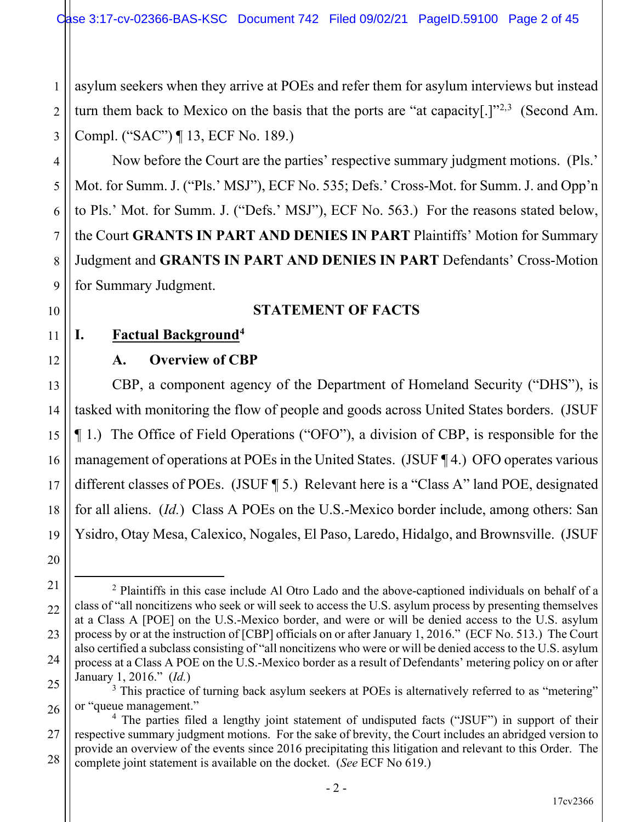1 2 3 asylum seekers when they arrive at POEs and refer them for asylum interviews but instead turn them back to Mexico on the basis that the ports are "at capacity[.] $1^{2,3}$  (Second Am. Compl. ("SAC") ¶ 13, ECF No. 189.)

Now before the Court are the parties' respective summary judgment motions. (Pls.' Mot. for Summ. J. ("Pls.' MSJ"), ECF No. 535; Defs.' Cross-Mot. for Summ. J. and Opp'n to Pls.' Mot. for Summ. J. ("Defs.' MSJ"), ECF No. 563.) For the reasons stated below, the Court **GRANTS IN PART AND DENIES IN PART** Plaintiffs' Motion for Summary Judgment and **GRANTS IN PART AND DENIES IN PART** Defendants' Cross-Motion for Summary Judgment.

## **STATEMENT OF FACTS**

## **I. Factual Background4**

4

5

6

7

8

9

10

11

12

13

14

15

16

17

18

19

20

## **A. Overview of CBP**

CBP, a component agency of the Department of Homeland Security ("DHS"), is tasked with monitoring the flow of people and goods across United States borders. (JSUF ¶ 1.) The Office of Field Operations ("OFO"), a division of CBP, is responsible for the management of operations at POEs in the United States. (JSUF ¶ 4.) OFO operates various different classes of POEs. (JSUF ¶ 5.) Relevant here is a "Class A" land POE, designated for all aliens. (*Id.*) Class A POEs on the U.S.-Mexico border include, among others: San Ysidro, Otay Mesa, Calexico, Nogales, El Paso, Laredo, Hidalgo, and Brownsville. (JSUF

<sup>21</sup> 22 23 24 25 <sup>2</sup> Plaintiffs in this case include Al Otro Lado and the above-captioned individuals on behalf of a class of "all noncitizens who seek or will seek to access the U.S. asylum process by presenting themselves at a Class A [POE] on the U.S.-Mexico border, and were or will be denied access to the U.S. asylum process by or at the instruction of [CBP] officials on or after January 1, 2016." (ECF No. 513.) The Court also certified a subclass consisting of "all noncitizens who were or will be denied access to the U.S. asylum process at a Class A POE on the U.S.-Mexico border as a result of Defendants' metering policy on or after January 1, 2016." (*Id.*)

 $3$  This practice of turning back asylum seekers at POEs is alternatively referred to as "metering" or "queue management."

<sup>26</sup> 27 28 <sup>4</sup> The parties filed a lengthy joint statement of undisputed facts ("JSUF") in support of their respective summary judgment motions. For the sake of brevity, the Court includes an abridged version to provide an overview of the events since 2016 precipitating this litigation and relevant to this Order. The complete joint statement is available on the docket. (*See* ECF No 619.)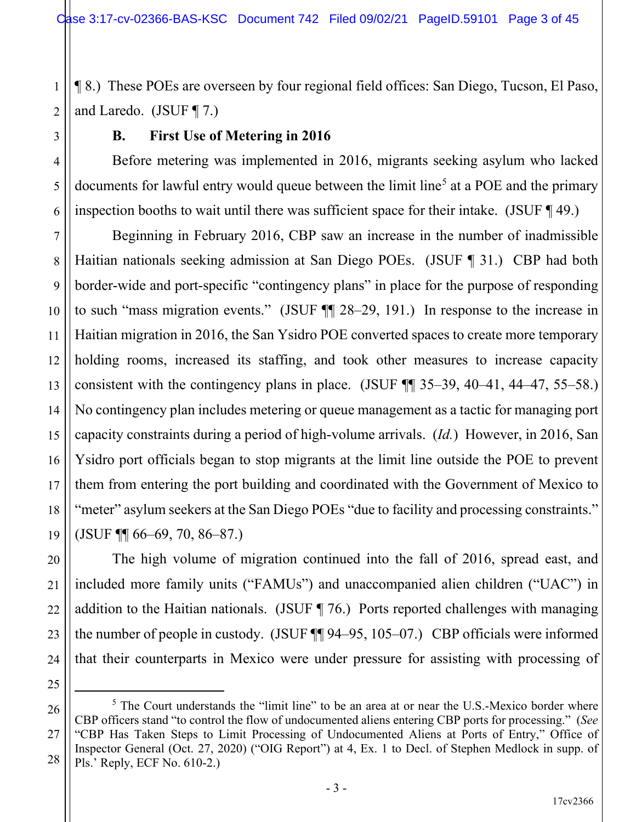1 2 ¶ 8.) These POEs are overseen by four regional field offices: San Diego, Tucson, El Paso, and Laredo. (JSUF ¶ 7.)

3

4

5

6

7

8

9

10

11

17

18

20

21

### **B. First Use of Metering in 2016**

Before metering was implemented in 2016, migrants seeking asylum who lacked documents for lawful entry would queue between the limit line<sup>5</sup> at a POE and the primary inspection booths to wait until there was sufficient space for their intake. (JSUF ¶ 49.)

12 13 14 15 16 19 Beginning in February 2016, CBP saw an increase in the number of inadmissible Haitian nationals seeking admission at San Diego POEs. (JSUF ¶ 31.) CBP had both border-wide and port-specific "contingency plans" in place for the purpose of responding to such "mass migration events." (JSUF ¶¶ 28–29, 191.) In response to the increase in Haitian migration in 2016, the San Ysidro POE converted spaces to create more temporary holding rooms, increased its staffing, and took other measures to increase capacity consistent with the contingency plans in place. (JSUF ¶¶ 35–39, 40–41, 44–47, 55–58.) No contingency plan includes metering or queue management as a tactic for managing port capacity constraints during a period of high-volume arrivals. (*Id.*) However, in 2016, San Ysidro port officials began to stop migrants at the limit line outside the POE to prevent them from entering the port building and coordinated with the Government of Mexico to "meter" asylum seekers at the San Diego POEs "due to facility and processing constraints." (JSUF ¶¶ 66–69, 70, 86–87.)

The high volume of migration continued into the fall of 2016, spread east, and included more family units ("FAMUs") and unaccompanied alien children ("UAC") in addition to the Haitian nationals. (JSUF ¶ 76.) Ports reported challenges with managing the number of people in custody. (JSUF ¶¶ 94–95, 105–07.) CBP officials were informed that their counterparts in Mexico were under pressure for assisting with processing of

27

<sup>22</sup> 23 24 25 26

 $<sup>5</sup>$  The Court understands the "limit line" to be an area at or near the U.S.-Mexico border where</sup> CBP officers stand "to control the flow of undocumented aliens entering CBP ports for processing." (*See* "CBP Has Taken Steps to Limit Processing of Undocumented Aliens at Ports of Entry," Office of Inspector General (Oct. 27, 2020) ("OIG Report") at 4, Ex. 1 to Decl. of Stephen Medlock in supp. of Pls.' Reply, ECF No. 610-2.)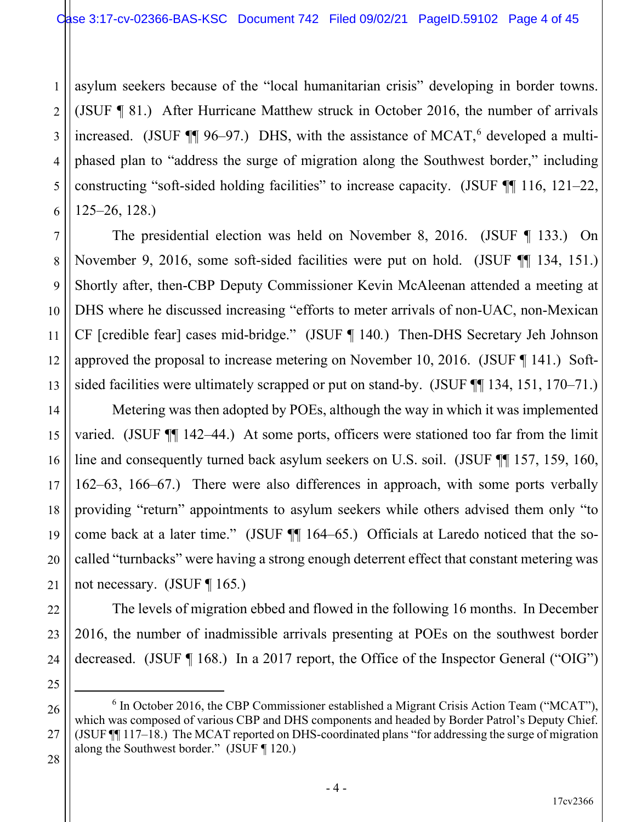1 2 3 4 5 6 asylum seekers because of the "local humanitarian crisis" developing in border towns. (JSUF ¶ 81.) After Hurricane Matthew struck in October 2016, the number of arrivals increased. (JSUF  $\P$ ] 96–97.) DHS, with the assistance of MCAT,<sup>6</sup> developed a multiphased plan to "address the surge of migration along the Southwest border," including constructing "soft-sided holding facilities" to increase capacity. (JSUF ¶¶ 116, 121–22, 125–26, 128.)

The presidential election was held on November 8, 2016. (JSUF ¶ 133.) On November 9, 2016, some soft-sided facilities were put on hold. (JSUF ¶¶ 134, 151.) Shortly after, then-CBP Deputy Commissioner Kevin McAleenan attended a meeting at DHS where he discussed increasing "efforts to meter arrivals of non-UAC, non-Mexican CF [credible fear] cases mid-bridge." (JSUF ¶ 140*.*) Then-DHS Secretary Jeh Johnson approved the proposal to increase metering on November 10, 2016. (JSUF ¶ 141.) Softsided facilities were ultimately scrapped or put on stand-by. (JSUF  $\P$  134, 151, 170–71.)

Metering was then adopted by POEs, although the way in which it was implemented varied. (JSUF ¶¶ 142–44.) At some ports, officers were stationed too far from the limit line and consequently turned back asylum seekers on U.S. soil. (JSUF ¶¶ 157, 159, 160, 162–63, 166–67.) There were also differences in approach, with some ports verbally providing "return" appointments to asylum seekers while others advised them only "to come back at a later time." (JSUF ¶¶ 164–65.) Officials at Laredo noticed that the socalled "turnbacks" were having a strong enough deterrent effect that constant metering was not necessary. (JSUF ¶ 165*.*)

The levels of migration ebbed and flowed in the following 16 months. In December 2016, the number of inadmissible arrivals presenting at POEs on the southwest border decreased. (JSUF ¶ 168.) In a 2017 report, the Office of the Inspector General ("OIG")

7

8

9

10

11

12

13

14

15

16

17

18

19

20

21

22

23

24

25

 $6$  In October 2016, the CBP Commissioner established a Migrant Crisis Action Team ("MCAT"), which was composed of various CBP and DHS components and headed by Border Patrol's Deputy Chief. (JSUF ¶¶ 117–18.) The MCAT reported on DHS-coordinated plans "for addressing the surge of migration along the Southwest border." (JSUF ¶ 120.)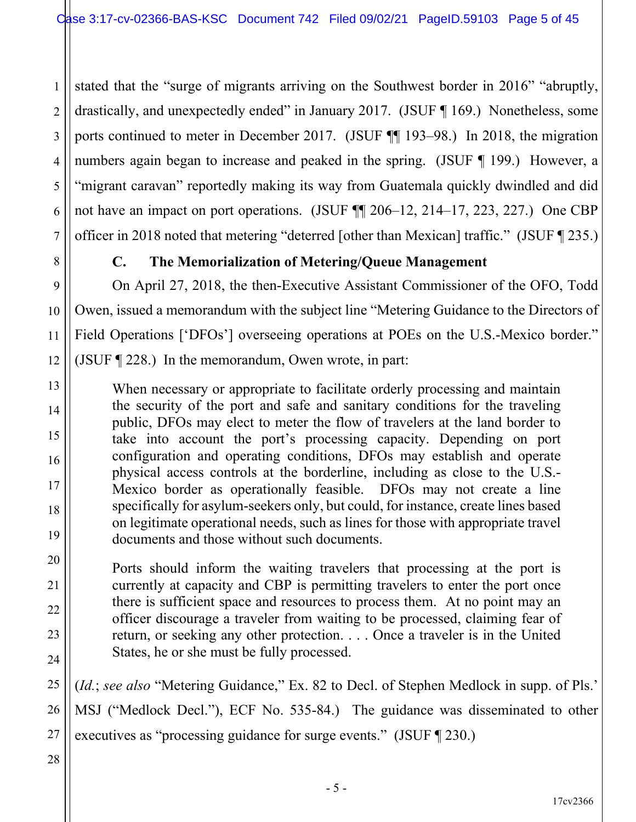1 2 3 4 5 6 7 stated that the "surge of migrants arriving on the Southwest border in 2016" "abruptly, drastically, and unexpectedly ended" in January 2017. (JSUF ¶ 169.) Nonetheless, some ports continued to meter in December 2017. (JSUF ¶¶ 193–98.) In 2018, the migration numbers again began to increase and peaked in the spring. (JSUF ¶ 199.) However, a "migrant caravan" reportedly making its way from Guatemala quickly dwindled and did not have an impact on port operations. (JSUF ¶¶ 206–12, 214–17, 223, 227.) One CBP officer in 2018 noted that metering "deterred [other than Mexican] traffic." (JSUF ¶ 235.)

## **C. The Memorialization of Metering/Queue Management**

On April 27, 2018, the then-Executive Assistant Commissioner of the OFO, Todd Owen, issued a memorandum with the subject line "Metering Guidance to the Directors of Field Operations ['DFOs'] overseeing operations at POEs on the U.S.-Mexico border." (JSUF ¶ 228.) In the memorandum, Owen wrote, in part:

When necessary or appropriate to facilitate orderly processing and maintain the security of the port and safe and sanitary conditions for the traveling public, DFOs may elect to meter the flow of travelers at the land border to take into account the port's processing capacity. Depending on port configuration and operating conditions, DFOs may establish and operate physical access controls at the borderline, including as close to the U.S.- Mexico border as operationally feasible. DFOs may not create a line specifically for asylum-seekers only, but could, for instance, create lines based on legitimate operational needs, such as lines for those with appropriate travel documents and those without such documents.

Ports should inform the waiting travelers that processing at the port is currently at capacity and CBP is permitting travelers to enter the port once there is sufficient space and resources to process them. At no point may an officer discourage a traveler from waiting to be processed, claiming fear of return, or seeking any other protection. . . . Once a traveler is in the United States, he or she must be fully processed.

25 26 27 (*Id.*; *see also* "Metering Guidance," Ex. 82 to Decl. of Stephen Medlock in supp. of Pls.' MSJ ("Medlock Decl."), ECF No. 535-84.) The guidance was disseminated to other executives as "processing guidance for surge events." (JSUF ¶ 230.)

28

8

9

10

11

12

13

14

15

16

17

18

19

20

21

22

23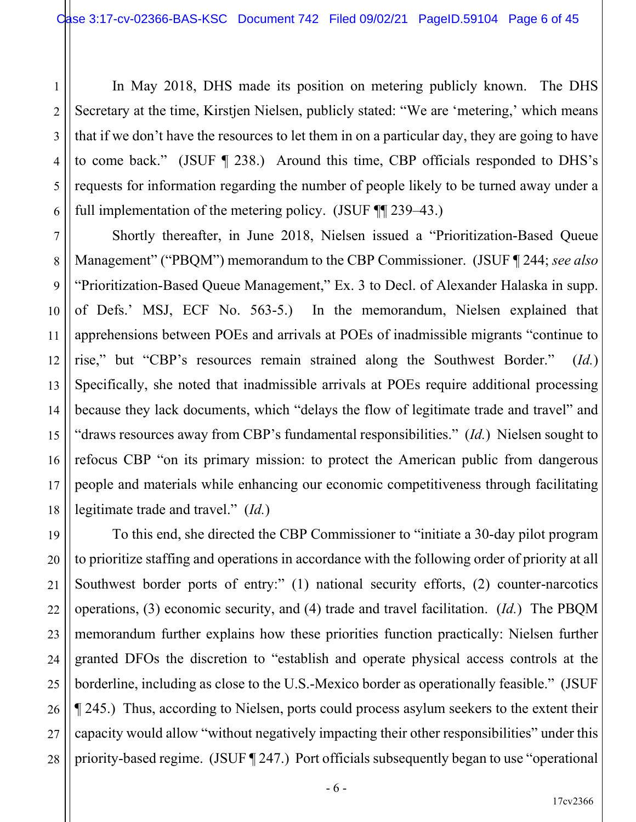1 2 3 4 5 6 In May 2018, DHS made its position on metering publicly known. The DHS Secretary at the time, Kirstjen Nielsen, publicly stated: "We are 'metering,' which means that if we don't have the resources to let them in on a particular day, they are going to have to come back." (JSUF ¶ 238.) Around this time, CBP officials responded to DHS's requests for information regarding the number of people likely to be turned away under a full implementation of the metering policy. (JSUF ¶¶ 239–43.)

7

8

9

10

11

12

13

14

15

16

17

18

21

22

27

Shortly thereafter, in June 2018, Nielsen issued a "Prioritization-Based Queue Management" ("PBQM") memorandum to the CBP Commissioner. (JSUF ¶ 244; *see also* "Prioritization-Based Queue Management," Ex. 3 to Decl. of Alexander Halaska in supp. of Defs.' MSJ, ECF No. 563-5.) In the memorandum, Nielsen explained that apprehensions between POEs and arrivals at POEs of inadmissible migrants "continue to rise," but "CBP's resources remain strained along the Southwest Border." (*Id.*) Specifically, she noted that inadmissible arrivals at POEs require additional processing because they lack documents, which "delays the flow of legitimate trade and travel" and "draws resources away from CBP's fundamental responsibilities." (*Id.*) Nielsen sought to refocus CBP "on its primary mission: to protect the American public from dangerous people and materials while enhancing our economic competitiveness through facilitating legitimate trade and travel." (*Id.*)

19 20 23 24 25 26 28 To this end, she directed the CBP Commissioner to "initiate a 30-day pilot program to prioritize staffing and operations in accordance with the following order of priority at all Southwest border ports of entry:" (1) national security efforts, (2) counter-narcotics operations, (3) economic security, and (4) trade and travel facilitation. (*Id.*) The PBQM memorandum further explains how these priorities function practically: Nielsen further granted DFOs the discretion to "establish and operate physical access controls at the borderline, including as close to the U.S.-Mexico border as operationally feasible." (JSUF ¶ 245.) Thus, according to Nielsen, ports could process asylum seekers to the extent their capacity would allow "without negatively impacting their other responsibilities" under this priority-based regime. (JSUF ¶ 247.) Port officials subsequently began to use "operational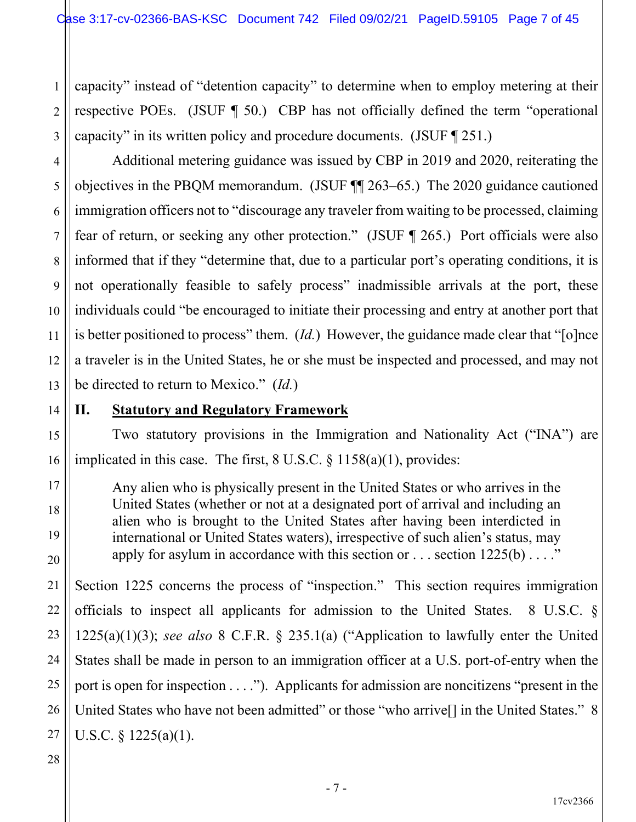1 2 3 capacity" instead of "detention capacity" to determine when to employ metering at their respective POEs. (JSUF ¶ 50.) CBP has not officially defined the term "operational capacity" in its written policy and procedure documents. (JSUF ¶ 251.)

Additional metering guidance was issued by CBP in 2019 and 2020, reiterating the objectives in the PBQM memorandum. (JSUF ¶¶ 263–65.) The 2020 guidance cautioned immigration officers not to "discourage any traveler from waiting to be processed, claiming fear of return, or seeking any other protection." (JSUF ¶ 265.) Port officials were also informed that if they "determine that, due to a particular port's operating conditions, it is not operationally feasible to safely process" inadmissible arrivals at the port, these individuals could "be encouraged to initiate their processing and entry at another port that is better positioned to process" them. (*Id.*) However, the guidance made clear that "[o]nce a traveler is in the United States, he or she must be inspected and processed, and may not be directed to return to Mexico." (*Id.*)

# 14

15

16

17

18

19

20

21

22

4

5

6

7

8

9

10

11

12

13

## **II. Statutory and Regulatory Framework**

Two statutory provisions in the Immigration and Nationality Act ("INA") are implicated in this case. The first, 8 U.S.C. § 1158(a)(1), provides:

Any alien who is physically present in the United States or who arrives in the United States (whether or not at a designated port of arrival and including an alien who is brought to the United States after having been interdicted in international or United States waters), irrespective of such alien's status, may apply for asylum in accordance with this section or  $\dots$  section  $1225(b) \dots$ ."

23 24 25 26 Section 1225 concerns the process of "inspection." This section requires immigration officials to inspect all applicants for admission to the United States. 8 U.S.C. § 1225(a)(1)(3); *see also* 8 C.F.R. § 235.1(a) ("Application to lawfully enter the United States shall be made in person to an immigration officer at a U.S. port-of-entry when the port is open for inspection . . . ."). Applicants for admission are noncitizens "present in the United States who have not been admitted" or those "who arrive<sup>[]</sup> in the United States." 8 U.S.C.  $\S$  1225(a)(1).

28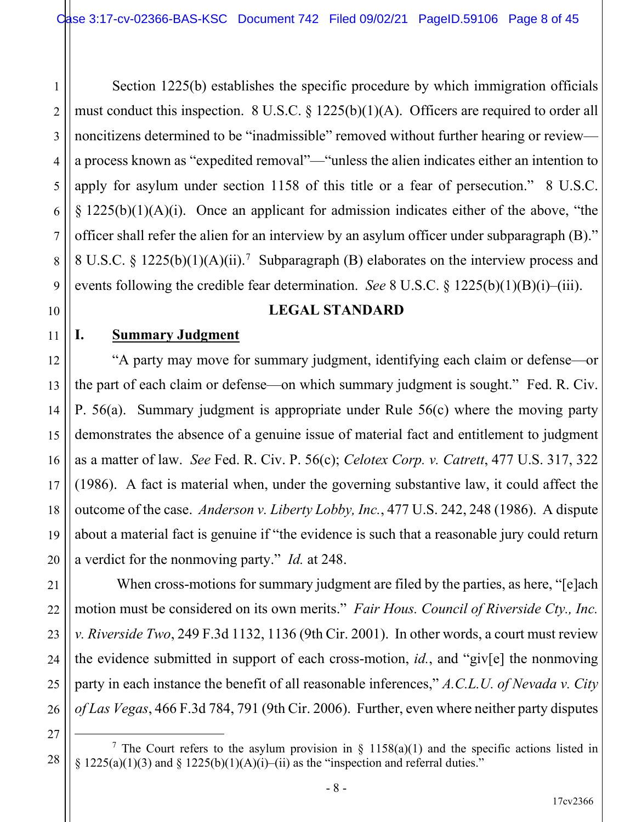6 8 Section 1225(b) establishes the specific procedure by which immigration officials must conduct this inspection. 8 U.S.C. § 1225(b)(1)(A). Officers are required to order all noncitizens determined to be "inadmissible" removed without further hearing or review a process known as "expedited removal"—"unless the alien indicates either an intention to apply for asylum under section 1158 of this title or a fear of persecution." 8 U.S.C.  $\S 1225(b)(1)(A)(i)$ . Once an applicant for admission indicates either of the above, "the officer shall refer the alien for an interview by an asylum officer under subparagraph (B)." 8 U.S.C. § 1225(b)(1)(A)(ii).<sup>7</sup> Subparagraph (B) elaborates on the interview process and events following the credible fear determination. *See* 8 U.S.C. § 1225(b)(1)(B)(i)–(iii).

#### 10

1

2

3

4

5

7

9

11

12

13

14

15

16

17

18

19

20

21

22

23

24

25

26

27

## **LEGAL STANDARD**

#### **I. Summary Judgment**

"A party may move for summary judgment, identifying each claim or defense—or the part of each claim or defense—on which summary judgment is sought." Fed. R. Civ. P. 56(a). Summary judgment is appropriate under Rule 56(c) where the moving party demonstrates the absence of a genuine issue of material fact and entitlement to judgment as a matter of law. *See* Fed. R. Civ. P. 56(c); *Celotex Corp. v. Catrett*, 477 U.S. 317, 322 (1986). A fact is material when, under the governing substantive law, it could affect the outcome of the case. *Anderson v. Liberty Lobby, Inc.*, 477 U.S. 242, 248 (1986). A dispute about a material fact is genuine if "the evidence is such that a reasonable jury could return a verdict for the nonmoving party." *Id.* at 248.

When cross-motions for summary judgment are filed by the parties, as here, "[e]ach motion must be considered on its own merits." *Fair Hous. Council of Riverside Cty., Inc. v. Riverside Two*, 249 F.3d 1132, 1136 (9th Cir. 2001). In other words, a court must review the evidence submitted in support of each cross-motion, *id.*, and "giv[e] the nonmoving party in each instance the benefit of all reasonable inferences," *A.C.L.U. of Nevada v. City of Las Vegas*, 466 F.3d 784, 791 (9th Cir. 2006). Further, even where neither party disputes

<sup>28</sup> <sup>7</sup> The Court refers to the asylum provision in  $\S$  1158(a)(1) and the specific actions listed in §  $1225(a)(1)(3)$  and §  $1225(b)(1)(A)(i)$ —(ii) as the "inspection and referral duties."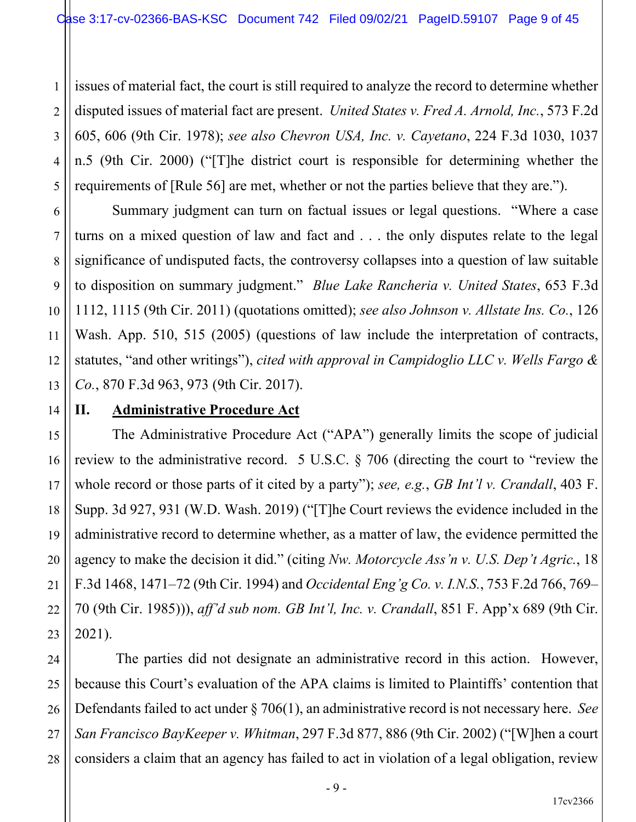1 2 3 4 5 issues of material fact, the court is still required to analyze the record to determine whether disputed issues of material fact are present. *United States v. Fred A. Arnold, Inc.*, 573 F.2d 605, 606 (9th Cir. 1978); *see also Chevron USA, Inc. v. Cayetano*, 224 F.3d 1030, 1037 n.5 (9th Cir. 2000) ("[T]he district court is responsible for determining whether the requirements of [Rule 56] are met, whether or not the parties believe that they are.").

Summary judgment can turn on factual issues or legal questions. "Where a case turns on a mixed question of law and fact and . . . the only disputes relate to the legal significance of undisputed facts, the controversy collapses into a question of law suitable to disposition on summary judgment." *Blue Lake Rancheria v. United States*, 653 F.3d 1112, 1115 (9th Cir. 2011) (quotations omitted); *see also Johnson v. Allstate Ins. Co.*, 126 Wash. App. 510, 515 (2005) (questions of law include the interpretation of contracts, statutes, "and other writings"), *cited with approval in Campidoglio LLC v. Wells Fargo & Co.*, 870 F.3d 963, 973 (9th Cir. 2017).

## 12 13 14 15 16 17 18

19

20

21

22

23

6

7

8

9

10

11

## **II. Administrative Procedure Act**

The Administrative Procedure Act ("APA") generally limits the scope of judicial review to the administrative record. 5 U.S.C. § 706 (directing the court to "review the whole record or those parts of it cited by a party"); *see, e.g.*, *GB Int'l v. Crandall*, 403 F. Supp. 3d 927, 931 (W.D. Wash. 2019) ("[T]he Court reviews the evidence included in the administrative record to determine whether, as a matter of law, the evidence permitted the agency to make the decision it did." (citing *Nw. Motorcycle Ass'n v. U.S. Dep't Agric.*, 18 F.3d 1468, 1471–72 (9th Cir. 1994) and *Occidental Eng'g Co. v. I.N.S.*, 753 F.2d 766, 769– 70 (9th Cir. 1985))), *aff'd sub nom. GB Int'l, Inc. v. Crandall*, 851 F. App'x 689 (9th Cir. 2021).

24 25 26 27 28 The parties did not designate an administrative record in this action. However, because this Court's evaluation of the APA claims is limited to Plaintiffs' contention that Defendants failed to act under § 706(1), an administrative record is not necessary here. *See San Francisco BayKeeper v. Whitman*, 297 F.3d 877, 886 (9th Cir. 2002) ("[W]hen a court considers a claim that an agency has failed to act in violation of a legal obligation, review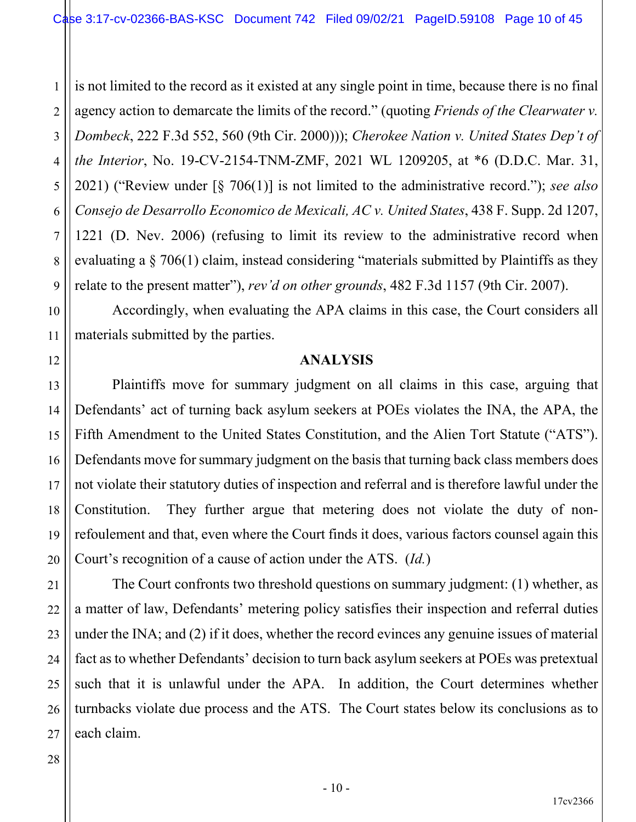1 2 3 4 5 6 7 8 9 is not limited to the record as it existed at any single point in time, because there is no final agency action to demarcate the limits of the record." (quoting *Friends of the Clearwater v. Dombeck*, 222 F.3d 552, 560 (9th Cir. 2000))); *Cherokee Nation v. United States Dep't of the Interior*, No. 19-CV-2154-TNM-ZMF, 2021 WL 1209205, at \*6 (D.D.C. Mar. 31, 2021) ("Review under [§ 706(1)] is not limited to the administrative record."); *see also Consejo de Desarrollo Economico de Mexicali, AC v. United States*, 438 F. Supp. 2d 1207, 1221 (D. Nev. 2006) (refusing to limit its review to the administrative record when evaluating a § 706(1) claim, instead considering "materials submitted by Plaintiffs as they relate to the present matter"), *rev'd on other grounds*, 482 F.3d 1157 (9th Cir. 2007).

Accordingly, when evaluating the APA claims in this case, the Court considers all materials submitted by the parties.

#### **ANALYSIS**

Plaintiffs move for summary judgment on all claims in this case, arguing that Defendants' act of turning back asylum seekers at POEs violates the INA, the APA, the Fifth Amendment to the United States Constitution, and the Alien Tort Statute ("ATS"). Defendants move for summary judgment on the basis that turning back class members does not violate their statutory duties of inspection and referral and is therefore lawful under the Constitution. They further argue that metering does not violate the duty of nonrefoulement and that, even where the Court finds it does, various factors counsel again this Court's recognition of a cause of action under the ATS. (*Id.*)

The Court confronts two threshold questions on summary judgment: (1) whether, as a matter of law, Defendants' metering policy satisfies their inspection and referral duties under the INA; and (2) if it does, whether the record evinces any genuine issues of material fact as to whether Defendants' decision to turn back asylum seekers at POEs was pretextual such that it is unlawful under the APA. In addition, the Court determines whether turnbacks violate due process and the ATS. The Court states below its conclusions as to each claim.

## 27 28

10

11

12

13

14

15

16

17

18

19

20

21

22

23

24

25

26

- 10 -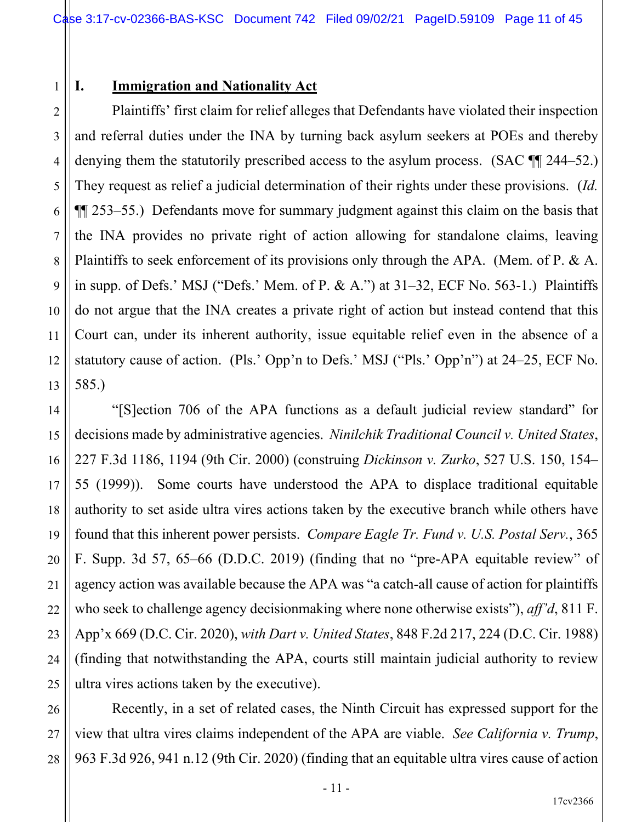#### 1 **I. Immigration and Nationality Act**

2

3

4

5

6

7

9

10

11

12

8 13 Plaintiffs' first claim for relief alleges that Defendants have violated their inspection and referral duties under the INA by turning back asylum seekers at POEs and thereby denying them the statutorily prescribed access to the asylum process. (SAC  $\P$  244–52.) They request as relief a judicial determination of their rights under these provisions. (*Id.* ¶¶ 253–55.) Defendants move for summary judgment against this claim on the basis that the INA provides no private right of action allowing for standalone claims, leaving Plaintiffs to seek enforcement of its provisions only through the APA. (Mem. of P. & A. in supp. of Defs.' MSJ ("Defs.' Mem. of P. & A.") at  $31-32$ , ECF No. 563-1.) Plaintiffs do not argue that the INA creates a private right of action but instead contend that this Court can, under its inherent authority, issue equitable relief even in the absence of a statutory cause of action. (Pls.' Opp'n to Defs.' MSJ ("Pls.' Opp'n") at 24–25, ECF No. 585.)

14 15 16 17 18 19 20 21 22 23 24 25 "[S]ection 706 of the APA functions as a default judicial review standard" for decisions made by administrative agencies. *Ninilchik Traditional Council v. United States*, 227 F.3d 1186, 1194 (9th Cir. 2000) (construing *Dickinson v. Zurko*, 527 U.S. 150, 154– 55 (1999)). Some courts have understood the APA to displace traditional equitable authority to set aside ultra vires actions taken by the executive branch while others have found that this inherent power persists. *Compare Eagle Tr. Fund v. U.S. Postal Serv.*, 365 F. Supp. 3d 57, 65–66 (D.D.C. 2019) (finding that no "pre-APA equitable review" of agency action was available because the APA was "a catch-all cause of action for plaintiffs who seek to challenge agency decisionmaking where none otherwise exists"), *aff'd*, 811 F. App'x 669 (D.C. Cir. 2020), *with Dart v. United States*, 848 F.2d 217, 224 (D.C. Cir. 1988) (finding that notwithstanding the APA, courts still maintain judicial authority to review ultra vires actions taken by the executive).

26 27 28 Recently, in a set of related cases, the Ninth Circuit has expressed support for the view that ultra vires claims independent of the APA are viable. *See California v. Trump*, 963 F.3d 926, 941 n.12 (9th Cir. 2020) (finding that an equitable ultra vires cause of action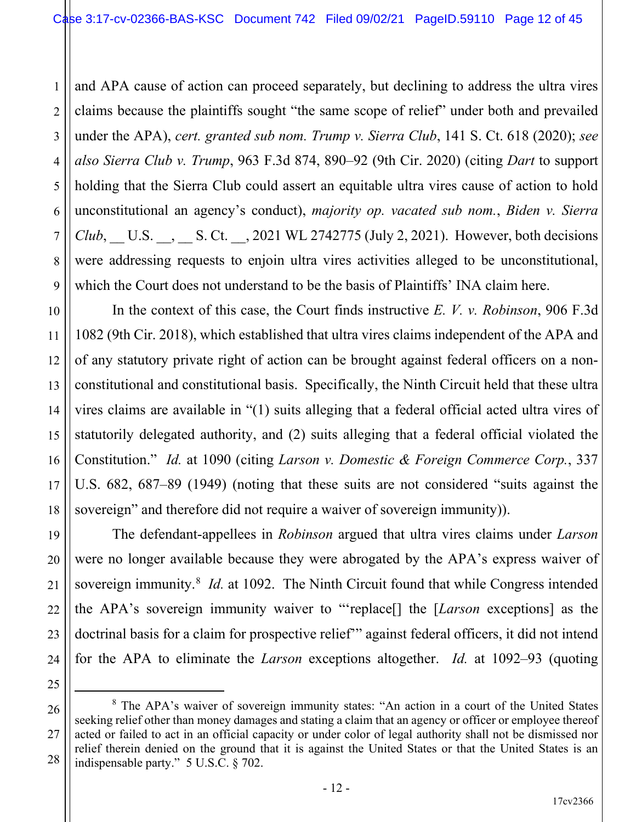1 2 3 4 5 6 7 8 9 and APA cause of action can proceed separately, but declining to address the ultra vires claims because the plaintiffs sought "the same scope of relief" under both and prevailed under the APA), *cert. granted sub nom. Trump v. Sierra Club*, 141 S. Ct. 618 (2020); *see also Sierra Club v. Trump*, 963 F.3d 874, 890–92 (9th Cir. 2020) (citing *Dart* to support holding that the Sierra Club could assert an equitable ultra vires cause of action to hold unconstitutional an agency's conduct), *majority op. vacated sub nom.*, *Biden v. Sierra Club*, U.S. , S. Ct. , 2021 WL 2742775 (July 2, 2021). However, both decisions were addressing requests to enjoin ultra vires activities alleged to be unconstitutional, which the Court does not understand to be the basis of Plaintiffs' INA claim here.

In the context of this case, the Court finds instructive *E. V. v. Robinson*, 906 F.3d 1082 (9th Cir. 2018), which established that ultra vires claims independent of the APA and of any statutory private right of action can be brought against federal officers on a nonconstitutional and constitutional basis. Specifically, the Ninth Circuit held that these ultra vires claims are available in "(1) suits alleging that a federal official acted ultra vires of statutorily delegated authority, and (2) suits alleging that a federal official violated the Constitution." *Id.* at 1090 (citing *Larson v. Domestic & Foreign Commerce Corp.*, 337 U.S. 682, 687–89 (1949) (noting that these suits are not considered "suits against the sovereign" and therefore did not require a waiver of sovereign immunity)).

The defendant-appellees in *Robinson* argued that ultra vires claims under *Larson* were no longer available because they were abrogated by the APA's express waiver of sovereign immunity.<sup>8</sup> *Id.* at 1092. The Ninth Circuit found that while Congress intended the APA's sovereign immunity waiver to "'replace[] the [*Larson* exceptions] as the doctrinal basis for a claim for prospective relief'" against federal officers, it did not intend for the APA to eliminate the *Larson* exceptions altogether. *Id.* at 1092–93 (quoting

26

27

28

10

11

12

13

14

15

16

17

18

19

20

21

22

23

<sup>25</sup>

<sup>8</sup> The APA's waiver of sovereign immunity states: "An action in a court of the United States seeking relief other than money damages and stating a claim that an agency or officer or employee thereof acted or failed to act in an official capacity or under color of legal authority shall not be dismissed nor relief therein denied on the ground that it is against the United States or that the United States is an indispensable party." 5 U.S.C. § 702.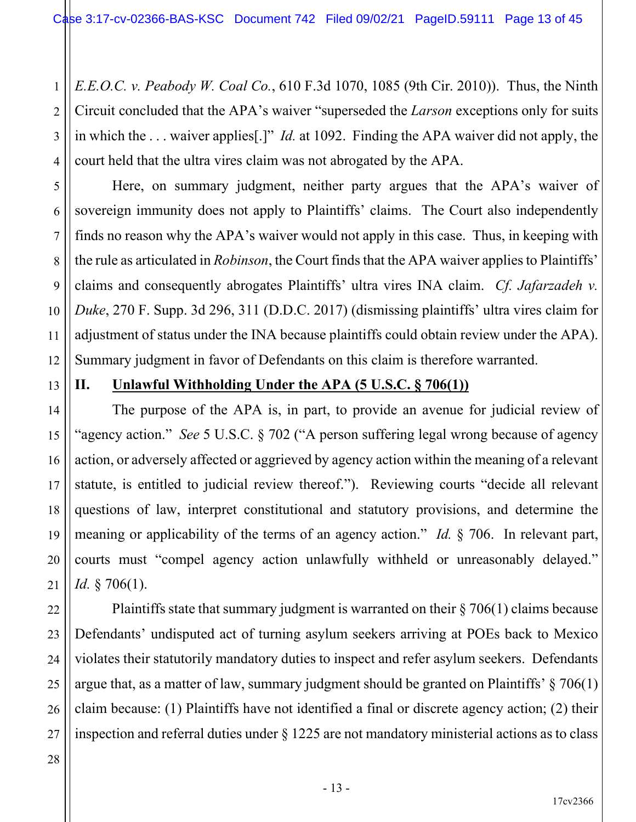1 2 3 4 *E.E.O.C. v. Peabody W. Coal Co.*, 610 F.3d 1070, 1085 (9th Cir. 2010)). Thus, the Ninth Circuit concluded that the APA's waiver "superseded the *Larson* exceptions only for suits in which the . . . waiver applies[.]" *Id.* at 1092. Finding the APA waiver did not apply, the court held that the ultra vires claim was not abrogated by the APA.

Here, on summary judgment, neither party argues that the APA's waiver of sovereign immunity does not apply to Plaintiffs' claims. The Court also independently finds no reason why the APA's waiver would not apply in this case. Thus, in keeping with the rule as articulated in *Robinson*, the Court finds that the APA waiver applies to Plaintiffs' claims and consequently abrogates Plaintiffs' ultra vires INA claim. *Cf. Jafarzadeh v. Duke*, 270 F. Supp. 3d 296, 311 (D.D.C. 2017) (dismissing plaintiffs' ultra vires claim for adjustment of status under the INA because plaintiffs could obtain review under the APA). Summary judgment in favor of Defendants on this claim is therefore warranted.

13

14

15

16

17

18

19

20

21

22

25

5

6

7

8

9

10

11

12

## **II. Unlawful Withholding Under the APA (5 U.S.C. § 706(1))**

The purpose of the APA is, in part, to provide an avenue for judicial review of "agency action." *See* 5 U.S.C. § 702 ("A person suffering legal wrong because of agency action, or adversely affected or aggrieved by agency action within the meaning of a relevant statute, is entitled to judicial review thereof."). Reviewing courts "decide all relevant questions of law, interpret constitutional and statutory provisions, and determine the meaning or applicability of the terms of an agency action." *Id.* § 706. In relevant part, courts must "compel agency action unlawfully withheld or unreasonably delayed." *Id.* § 706(1).

23 24 26 27 Plaintiffs state that summary judgment is warranted on their § 706(1) claims because Defendants' undisputed act of turning asylum seekers arriving at POEs back to Mexico violates their statutorily mandatory duties to inspect and refer asylum seekers. Defendants argue that, as a matter of law, summary judgment should be granted on Plaintiffs' § 706(1) claim because: (1) Plaintiffs have not identified a final or discrete agency action; (2) their inspection and referral duties under § 1225 are not mandatory ministerial actions as to class

#### 28

- 13 -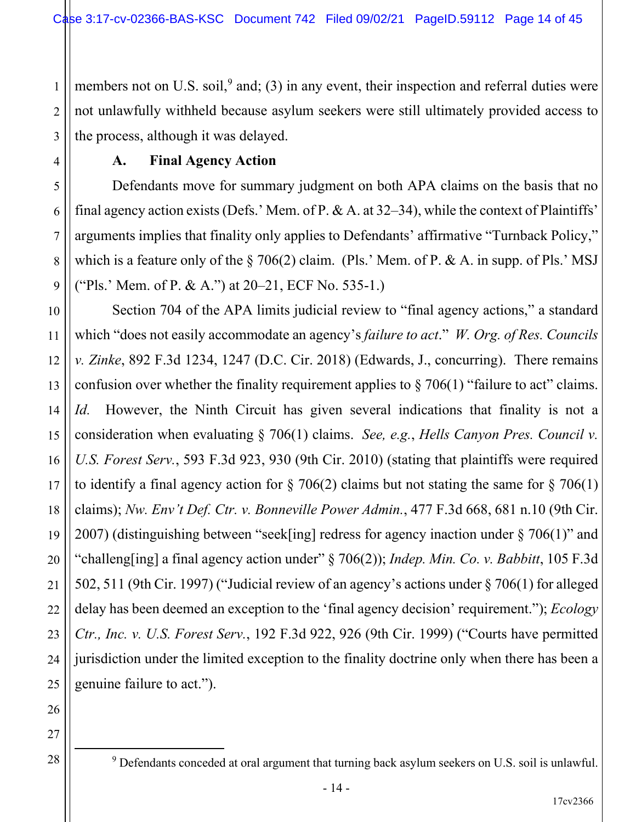1 2 3 members not on U.S. soil, $9$  and; (3) in any event, their inspection and referral duties were not unlawfully withheld because asylum seekers were still ultimately provided access to the process, although it was delayed.

#### **A. Final Agency Action**

Defendants move for summary judgment on both APA claims on the basis that no final agency action exists (Defs.' Mem. of P. & A. at 32–34), while the context of Plaintiffs' arguments implies that finality only applies to Defendants' affirmative "Turnback Policy," which is a feature only of the  $\S 706(2)$  claim. (Pls.' Mem. of P. & A. in supp. of Pls.' MSJ ("Pls.' Mem. of P. & A.") at 20–21, ECF No. 535-1.)

10 12 13 14 15 16 17 18 19 20 21 22 23 24 25 Section 704 of the APA limits judicial review to "final agency actions," a standard which "does not easily accommodate an agency's *failure to act*." *W. Org. of Res. Councils v. Zinke*, 892 F.3d 1234, 1247 (D.C. Cir. 2018) (Edwards, J., concurring). There remains confusion over whether the finality requirement applies to  $\S 706(1)$  "failure to act" claims. *Id.* However, the Ninth Circuit has given several indications that finality is not a consideration when evaluating § 706(1) claims. *See, e.g.*, *Hells Canyon Pres. Council v. U.S. Forest Serv.*, 593 F.3d 923, 930 (9th Cir. 2010) (stating that plaintiffs were required to identify a final agency action for  $\S 706(2)$  claims but not stating the same for  $\S 706(1)$ claims); *Nw. Env't Def. Ctr. v. Bonneville Power Admin.*, 477 F.3d 668, 681 n.10 (9th Cir. 2007) (distinguishing between "seek[ing] redress for agency inaction under § 706(1)" and "challeng[ing] a final agency action under" § 706(2)); *Indep. Min. Co. v. Babbitt*, 105 F.3d 502, 511 (9th Cir. 1997) ("Judicial review of an agency's actions under § 706(1) for alleged delay has been deemed an exception to the 'final agency decision' requirement."); *Ecology Ctr., Inc. v. U.S. Forest Serv.*, 192 F.3d 922, 926 (9th Cir. 1999) ("Courts have permitted jurisdiction under the limited exception to the finality doctrine only when there has been a genuine failure to act.").

26

4

5

6

7

8

9

<sup>27</sup> 28

 $9$  Defendants conceded at oral argument that turning back asylum seekers on U.S. soil is unlawful.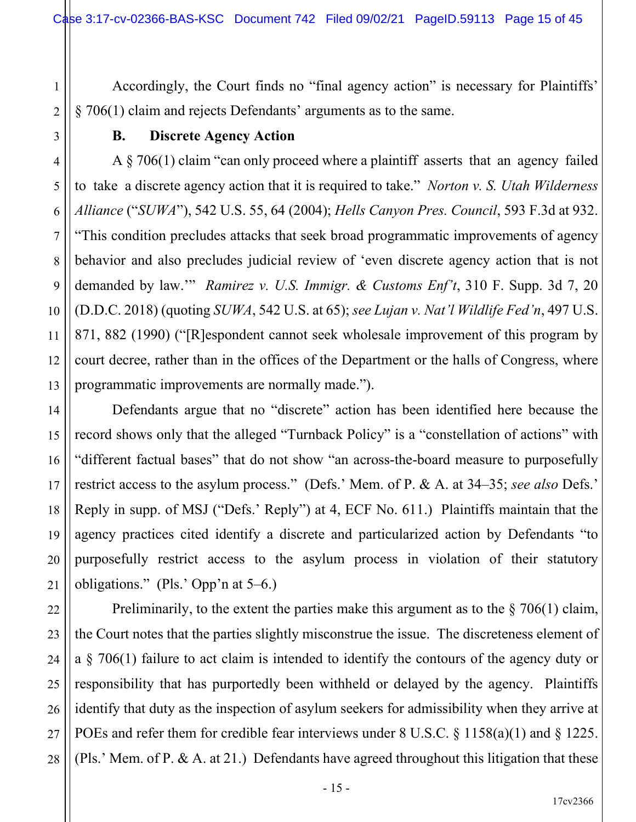Accordingly, the Court finds no "final agency action" is necessary for Plaintiffs' § 706(1) claim and rejects Defendants' arguments as to the same.

## **B. Discrete Agency Action**

1

2

3

4

5

6

7

8

9

10

11

12

13

14

15

16

17

18

19

20

21

22

23

24

25

26

27

28

A § 706(1) claim "can only proceed where a plaintiff asserts that an agency failed to take a discrete agency action that it is required to take." *Norton v. S. Utah Wilderness Alliance* ("*SUWA*"), 542 U.S. 55, 64 (2004); *Hells Canyon Pres. Council*, 593 F.3d at 932. "This condition precludes attacks that seek broad programmatic improvements of agency behavior and also precludes judicial review of 'even discrete agency action that is not demanded by law.'" *Ramirez v. U.S. Immigr. & Customs Enf't*, 310 F. Supp. 3d 7, 20 (D.D.C. 2018) (quoting *SUWA*, 542 U.S. at 65); *see Lujan v. Nat'l Wildlife Fed'n*, 497 U.S. 871, 882 (1990) ("[R]espondent cannot seek wholesale improvement of this program by court decree, rather than in the offices of the Department or the halls of Congress, where programmatic improvements are normally made.").

Defendants argue that no "discrete" action has been identified here because the record shows only that the alleged "Turnback Policy" is a "constellation of actions" with "different factual bases" that do not show "an across-the-board measure to purposefully restrict access to the asylum process." (Defs.' Mem. of P. & A. at 34–35; *see also* Defs.' Reply in supp. of MSJ ("Defs.' Reply") at 4, ECF No. 611.) Plaintiffs maintain that the agency practices cited identify a discrete and particularized action by Defendants "to purposefully restrict access to the asylum process in violation of their statutory obligations." (Pls.' Opp'n at 5–6.)

Preliminarily, to the extent the parties make this argument as to the  $\S 706(1)$  claim, the Court notes that the parties slightly misconstrue the issue. The discreteness element of a § 706(1) failure to act claim is intended to identify the contours of the agency duty or responsibility that has purportedly been withheld or delayed by the agency. Plaintiffs identify that duty as the inspection of asylum seekers for admissibility when they arrive at POEs and refer them for credible fear interviews under 8 U.S.C. § 1158(a)(1) and § 1225. (Pls.' Mem. of P. & A. at 21.) Defendants have agreed throughout this litigation that these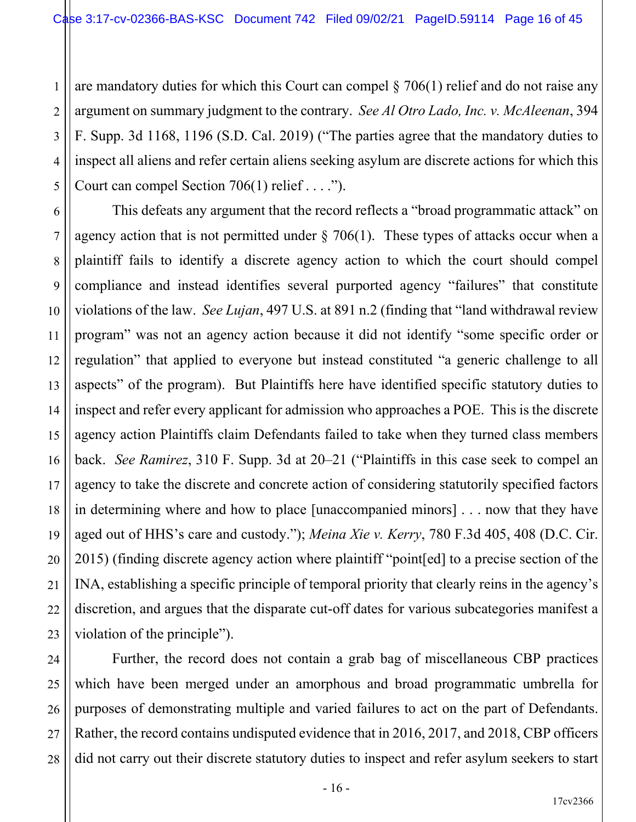1 2 3 4 5 are mandatory duties for which this Court can compel  $\S 706(1)$  relief and do not raise any argument on summary judgment to the contrary. *See Al Otro Lado, Inc. v. McAleenan*, 394 F. Supp. 3d 1168, 1196 (S.D. Cal. 2019) ("The parties agree that the mandatory duties to inspect all aliens and refer certain aliens seeking asylum are discrete actions for which this Court can compel Section  $706(1)$  relief . . . .").

7

8

9

10

11

17

21

22

25

6 12 13 14 15 16 18 19 20 23 This defeats any argument that the record reflects a "broad programmatic attack" on agency action that is not permitted under  $\S$  706(1). These types of attacks occur when a plaintiff fails to identify a discrete agency action to which the court should compel compliance and instead identifies several purported agency "failures" that constitute violations of the law. *See Lujan*, 497 U.S. at 891 n.2 (finding that "land withdrawal review program" was not an agency action because it did not identify "some specific order or regulation" that applied to everyone but instead constituted "a generic challenge to all aspects" of the program). But Plaintiffs here have identified specific statutory duties to inspect and refer every applicant for admission who approaches a POE. This is the discrete agency action Plaintiffs claim Defendants failed to take when they turned class members back. *See Ramirez*, 310 F. Supp. 3d at 20–21 ("Plaintiffs in this case seek to compel an agency to take the discrete and concrete action of considering statutorily specified factors in determining where and how to place [unaccompanied minors] . . . now that they have aged out of HHS's care and custody."); *Meina Xie v. Kerry*, 780 F.3d 405, 408 (D.C. Cir. 2015) (finding discrete agency action where plaintiff "point[ed] to a precise section of the INA, establishing a specific principle of temporal priority that clearly reins in the agency's discretion, and argues that the disparate cut-off dates for various subcategories manifest a violation of the principle").

24 26 27 28 Further, the record does not contain a grab bag of miscellaneous CBP practices which have been merged under an amorphous and broad programmatic umbrella for purposes of demonstrating multiple and varied failures to act on the part of Defendants. Rather, the record contains undisputed evidence that in 2016, 2017, and 2018, CBP officers did not carry out their discrete statutory duties to inspect and refer asylum seekers to start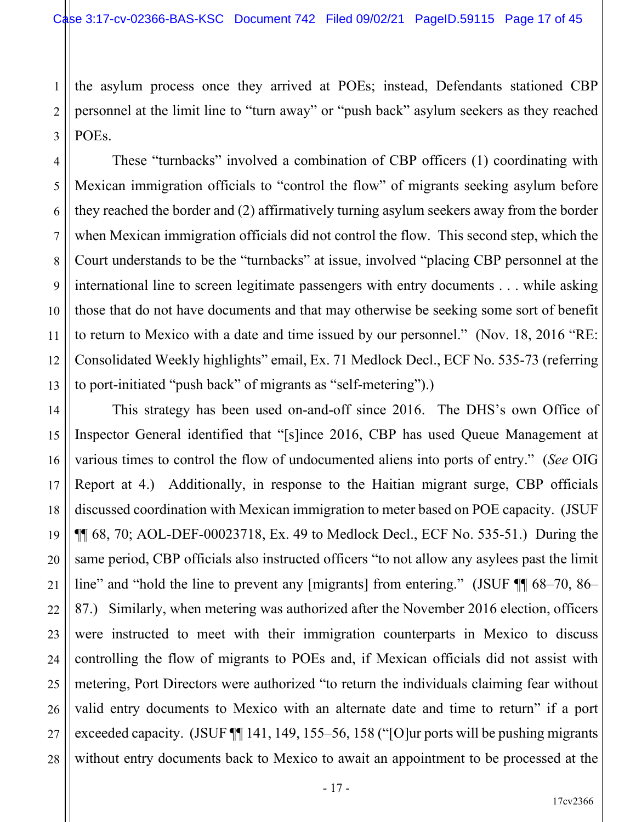1 2 3 the asylum process once they arrived at POEs; instead, Defendants stationed CBP personnel at the limit line to "turn away" or "push back" asylum seekers as they reached POEs.

5

6

7

8

9

10

11

13

15

16

17

18

19

20

21

22

23

24

25

26

27

28

4 12 These "turnbacks" involved a combination of CBP officers (1) coordinating with Mexican immigration officials to "control the flow" of migrants seeking asylum before they reached the border and (2) affirmatively turning asylum seekers away from the border when Mexican immigration officials did not control the flow. This second step, which the Court understands to be the "turnbacks" at issue, involved "placing CBP personnel at the international line to screen legitimate passengers with entry documents . . . while asking those that do not have documents and that may otherwise be seeking some sort of benefit to return to Mexico with a date and time issued by our personnel." (Nov. 18, 2016 "RE: Consolidated Weekly highlights" email, Ex. 71 Medlock Decl., ECF No. 535-73 (referring to port-initiated "push back" of migrants as "self-metering").)

14 This strategy has been used on-and-off since 2016. The DHS's own Office of Inspector General identified that "[s]ince 2016, CBP has used Queue Management at various times to control the flow of undocumented aliens into ports of entry." (*See* OIG Report at 4.) Additionally, in response to the Haitian migrant surge, CBP officials discussed coordination with Mexican immigration to meter based on POE capacity. (JSUF  $\P$  68, 70; AOL-DEF-00023718, Ex. 49 to Medlock Decl., ECF No. 535-51.) During the same period, CBP officials also instructed officers "to not allow any asylees past the limit line" and "hold the line to prevent any [migrants] from entering." (JSUF  $\P$  68–70, 86– 87.) Similarly, when metering was authorized after the November 2016 election, officers were instructed to meet with their immigration counterparts in Mexico to discuss controlling the flow of migrants to POEs and, if Mexican officials did not assist with metering, Port Directors were authorized "to return the individuals claiming fear without valid entry documents to Mexico with an alternate date and time to return" if a port exceeded capacity. (JSUF ¶¶ 141, 149, 155–56, 158 ("[O]ur ports will be pushing migrants without entry documents back to Mexico to await an appointment to be processed at the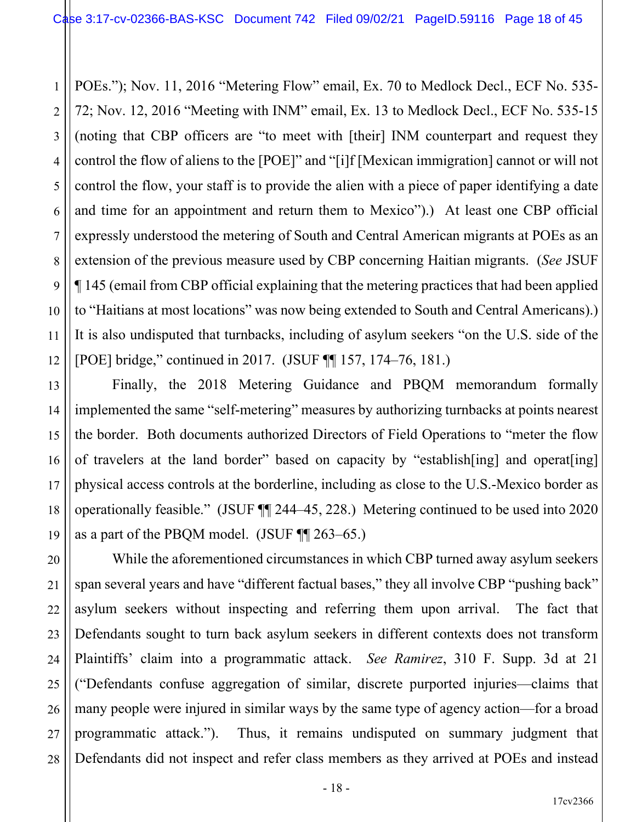1 2 3 4 5 6 7 8 9 10 11 12 POEs."); Nov. 11, 2016 "Metering Flow" email, Ex. 70 to Medlock Decl., ECF No. 535- 72; Nov. 12, 2016 "Meeting with INM" email, Ex. 13 to Medlock Decl., ECF No. 535-15 (noting that CBP officers are "to meet with [their] INM counterpart and request they control the flow of aliens to the [POE]" and "[i]f [Mexican immigration] cannot or will not control the flow, your staff is to provide the alien with a piece of paper identifying a date and time for an appointment and return them to Mexico").) At least one CBP official expressly understood the metering of South and Central American migrants at POEs as an extension of the previous measure used by CBP concerning Haitian migrants. (*See* JSUF ¶ 145 (email from CBP official explaining that the metering practices that had been applied to "Haitians at most locations" was now being extended to South and Central Americans).) It is also undisputed that turnbacks, including of asylum seekers "on the U.S. side of the [POE] bridge," continued in 2017. (JSUF ¶¶ 157, 174–76, 181.)

Finally, the 2018 Metering Guidance and PBQM memorandum formally implemented the same "self-metering" measures by authorizing turnbacks at points nearest the border. Both documents authorized Directors of Field Operations to "meter the flow of travelers at the land border" based on capacity by "establish[ing] and operat[ing] physical access controls at the borderline, including as close to the U.S.-Mexico border as operationally feasible." (JSUF ¶¶ 244–45, 228.) Metering continued to be used into 2020 as a part of the PBQM model. (JSUF ¶¶ 263–65.)

13

14

15

16

17

18

19

21

22

27

20 23 24 25 26 28 While the aforementioned circumstances in which CBP turned away asylum seekers span several years and have "different factual bases," they all involve CBP "pushing back" asylum seekers without inspecting and referring them upon arrival. The fact that Defendants sought to turn back asylum seekers in different contexts does not transform Plaintiffs' claim into a programmatic attack. *See Ramirez*, 310 F. Supp. 3d at 21 ("Defendants confuse aggregation of similar, discrete purported injuries—claims that many people were injured in similar ways by the same type of agency action—for a broad programmatic attack."). Thus, it remains undisputed on summary judgment that Defendants did not inspect and refer class members as they arrived at POEs and instead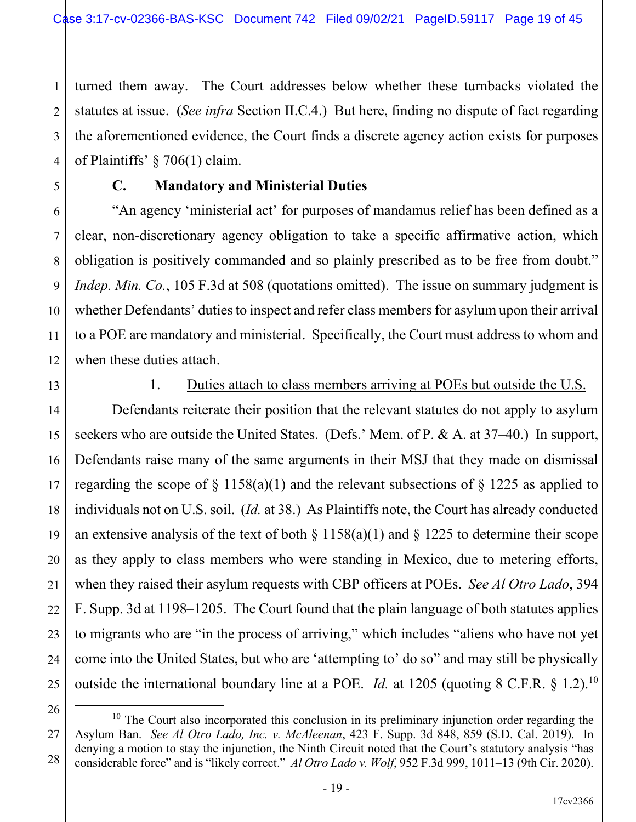1 2 3 4 turned them away. The Court addresses below whether these turnbacks violated the statutes at issue. (*See infra* Section II.C.4.) But here, finding no dispute of fact regarding the aforementioned evidence, the Court finds a discrete agency action exists for purposes of Plaintiffs' § 706(1) claim.

## **C. Mandatory and Ministerial Duties**

"An agency 'ministerial act' for purposes of mandamus relief has been defined as a clear, non-discretionary agency obligation to take a specific affirmative action, which obligation is positively commanded and so plainly prescribed as to be free from doubt." *Indep. Min. Co.*, 105 F.3d at 508 (quotations omitted). The issue on summary judgment is whether Defendants' duties to inspect and refer class members for asylum upon their arrival to a POE are mandatory and ministerial. Specifically, the Court must address to whom and when these duties attach.

13

5

6

7

8

9

10

11

12

14

15

16

17

18

19

20

21

22

23

24

25

## 1. Duties attach to class members arriving at POEs but outside the U.S.

Defendants reiterate their position that the relevant statutes do not apply to asylum seekers who are outside the United States. (Defs.' Mem. of P. & A. at 37–40.) In support, Defendants raise many of the same arguments in their MSJ that they made on dismissal regarding the scope of  $\S$  1158(a)(1) and the relevant subsections of  $\S$  1225 as applied to individuals not on U.S. soil. (*Id.* at 38.) As Plaintiffs note, the Court has already conducted an extensive analysis of the text of both  $\S 1158(a)(1)$  and  $\S 1225$  to determine their scope as they apply to class members who were standing in Mexico, due to metering efforts, when they raised their asylum requests with CBP officers at POEs. *See Al Otro Lado*, 394 F. Supp. 3d at 1198–1205. The Court found that the plain language of both statutes applies to migrants who are "in the process of arriving," which includes "aliens who have not yet come into the United States, but who are 'attempting to' do so" and may still be physically outside the international boundary line at a POE. *Id.* at 1205 (quoting 8 C.F.R. § 1.2).<sup>10</sup>

<sup>26</sup> 27

 $10$  The Court also incorporated this conclusion in its preliminary injunction order regarding the Asylum Ban. *See Al Otro Lado, Inc. v. McAleenan*, 423 F. Supp. 3d 848, 859 (S.D. Cal. 2019). In denying a motion to stay the injunction, the Ninth Circuit noted that the Court's statutory analysis "has considerable force" and is "likely correct." *Al Otro Lado v. Wolf*, 952 F.3d 999, 1011–13 (9th Cir. 2020).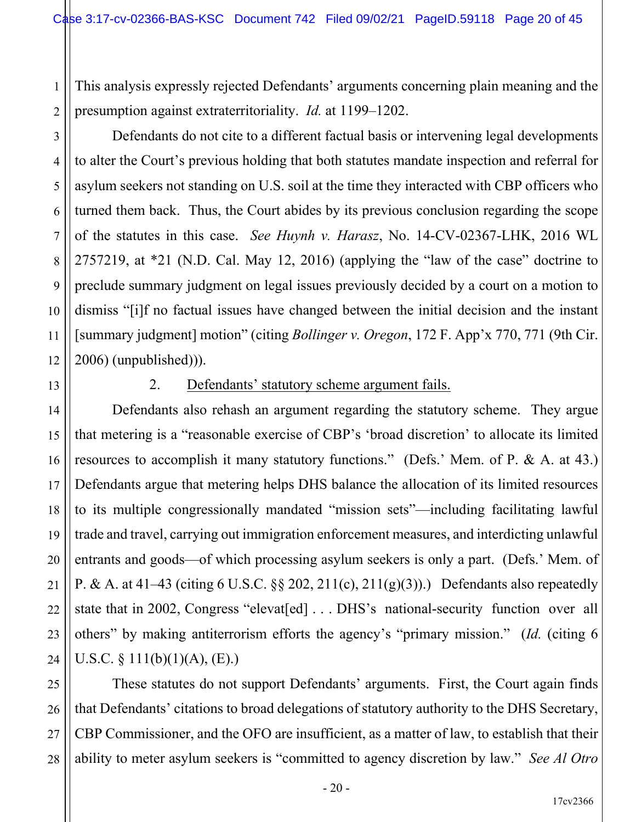This analysis expressly rejected Defendants' arguments concerning plain meaning and the presumption against extraterritoriality. *Id.* at 1199–1202.

Defendants do not cite to a different factual basis or intervening legal developments to alter the Court's previous holding that both statutes mandate inspection and referral for asylum seekers not standing on U.S. soil at the time they interacted with CBP officers who turned them back. Thus, the Court abides by its previous conclusion regarding the scope of the statutes in this case. *See Huynh v. Harasz*, No. 14-CV-02367-LHK, 2016 WL 2757219, at \*21 (N.D. Cal. May 12, 2016) (applying the "law of the case" doctrine to preclude summary judgment on legal issues previously decided by a court on a motion to dismiss "[i]f no factual issues have changed between the initial decision and the instant [summary judgment] motion" (citing *Bollinger v. Oregon*, 172 F. App'x 770, 771 (9th Cir. 2006) (unpublished))).

1

2

3

4

5

6

7

8

9

10

11

12

13

14

15

16

17

18

19

20

21

22

23

24

### 2. Defendants' statutory scheme argument fails.

Defendants also rehash an argument regarding the statutory scheme. They argue that metering is a "reasonable exercise of CBP's 'broad discretion' to allocate its limited resources to accomplish it many statutory functions." (Defs.' Mem. of P. & A. at 43.) Defendants argue that metering helps DHS balance the allocation of its limited resources to its multiple congressionally mandated "mission sets"—including facilitating lawful trade and travel, carrying out immigration enforcement measures, and interdicting unlawful entrants and goods—of which processing asylum seekers is only a part. (Defs.' Mem. of P. & A. at 41–43 (citing 6 U.S.C.  $\S$  202, 211(c), 211(g)(3)).) Defendants also repeatedly state that in 2002, Congress "elevat[ed] ... DHS's national-security function over all others" by making antiterrorism efforts the agency's "primary mission." (*Id.* (citing 6 U.S.C.  $\S$  111(b)(1)(A), (E).)

25 26 27 28 These statutes do not support Defendants' arguments. First, the Court again finds that Defendants' citations to broad delegations of statutory authority to the DHS Secretary, CBP Commissioner, and the OFO are insufficient, as a matter of law, to establish that their ability to meter asylum seekers is "committed to agency discretion by law." *See Al Otro*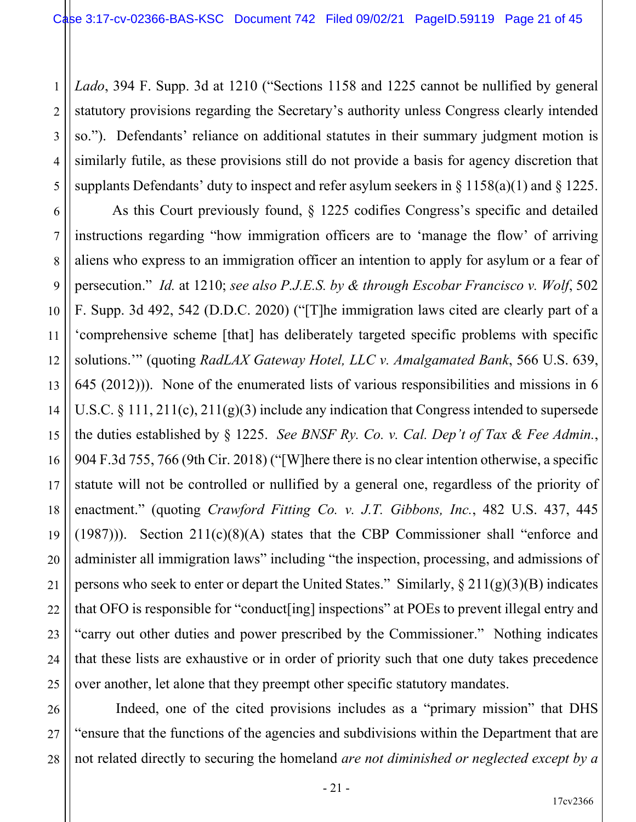1

2

3

4

5

7

9

10

11

17

18

21

22

23

24

25

26

27

28

*Lado*, 394 F. Supp. 3d at 1210 ("Sections 1158 and 1225 cannot be nullified by general statutory provisions regarding the Secretary's authority unless Congress clearly intended so."). Defendants' reliance on additional statutes in their summary judgment motion is similarly futile, as these provisions still do not provide a basis for agency discretion that supplants Defendants' duty to inspect and refer asylum seekers in  $\S$  1158(a)(1) and  $\S$  1225.

6 8 12 13 14 15 16 19 20 As this Court previously found, § 1225 codifies Congress's specific and detailed instructions regarding "how immigration officers are to 'manage the flow' of arriving aliens who express to an immigration officer an intention to apply for asylum or a fear of persecution." *Id.* at 1210; *see also P.J.E.S. by & through Escobar Francisco v. Wolf*, 502 F. Supp. 3d 492, 542 (D.D.C. 2020) ("[T]he immigration laws cited are clearly part of a 'comprehensive scheme [that] has deliberately targeted specific problems with specific solutions.'" (quoting *RadLAX Gateway Hotel, LLC v. Amalgamated Bank*, 566 U.S. 639, 645 (2012))). None of the enumerated lists of various responsibilities and missions in 6 U.S.C. § 111, 211(c), 211(g)(3) include any indication that Congress intended to supersede the duties established by § 1225. *See BNSF Ry. Co. v. Cal. Dep't of Tax & Fee Admin.*, 904 F.3d 755, 766 (9th Cir. 2018) ("[W]here there is no clear intention otherwise, a specific statute will not be controlled or nullified by a general one, regardless of the priority of enactment." (quoting *Crawford Fitting Co. v. J.T. Gibbons, Inc.*, 482 U.S. 437, 445 (1987))). Section 211(c)(8)(A) states that the CBP Commissioner shall "enforce and administer all immigration laws" including "the inspection, processing, and admissions of persons who seek to enter or depart the United States." Similarly,  $\S 211(g)(3)(B)$  indicates that OFO is responsible for "conduct[ing] inspections" at POEs to prevent illegal entry and "carry out other duties and power prescribed by the Commissioner." Nothing indicates that these lists are exhaustive or in order of priority such that one duty takes precedence over another, let alone that they preempt other specific statutory mandates.

Indeed, one of the cited provisions includes as a "primary mission" that DHS "ensure that the functions of the agencies and subdivisions within the Department that are not related directly to securing the homeland *are not diminished or neglected except by a*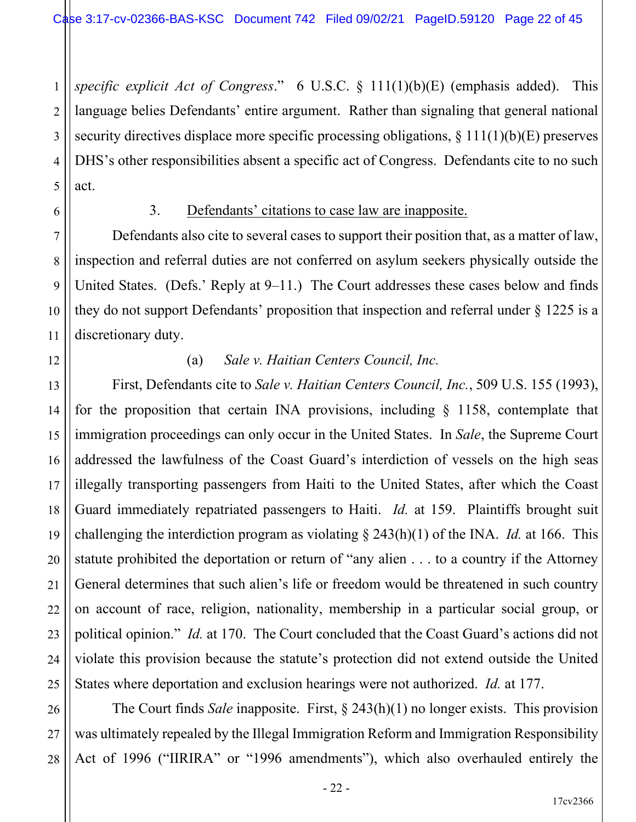1 2 *specific explicit Act of Congress*." 6 U.S.C. § 111(1)(b)(E) (emphasis added). This language belies Defendants' entire argument. Rather than signaling that general national security directives displace more specific processing obligations, § 111(1)(b)(E) preserves DHS's other responsibilities absent a specific act of Congress. Defendants cite to no such act.

#### 3. Defendants' citations to case law are inapposite.

Defendants also cite to several cases to support their position that, as a matter of law, inspection and referral duties are not conferred on asylum seekers physically outside the United States. (Defs.' Reply at 9–11.) The Court addresses these cases below and finds they do not support Defendants' proposition that inspection and referral under § 1225 is a discretionary duty.

(a) *Sale v. Haitian Centers Council, Inc.*

First, Defendants cite to *Sale v. Haitian Centers Council, Inc.*, 509 U.S. 155 (1993), for the proposition that certain INA provisions, including  $\S$  1158, contemplate that immigration proceedings can only occur in the United States. In *Sale*, the Supreme Court addressed the lawfulness of the Coast Guard's interdiction of vessels on the high seas illegally transporting passengers from Haiti to the United States, after which the Coast Guard immediately repatriated passengers to Haiti. *Id.* at 159. Plaintiffs brought suit challenging the interdiction program as violating § 243(h)(1) of the INA. *Id.* at 166. This statute prohibited the deportation or return of "any alien . . . to a country if the Attorney General determines that such alien's life or freedom would be threatened in such country on account of race, religion, nationality, membership in a particular social group, or political opinion." *Id.* at 170. The Court concluded that the Coast Guard's actions did not violate this provision because the statute's protection did not extend outside the United States where deportation and exclusion hearings were not authorized. *Id.* at 177.

The Court finds *Sale* inapposite. First, § 243(h)(1) no longer exists. This provision was ultimately repealed by the Illegal Immigration Reform and Immigration Responsibility Act of 1996 ("IIRIRA" or "1996 amendments"), which also overhauled entirely the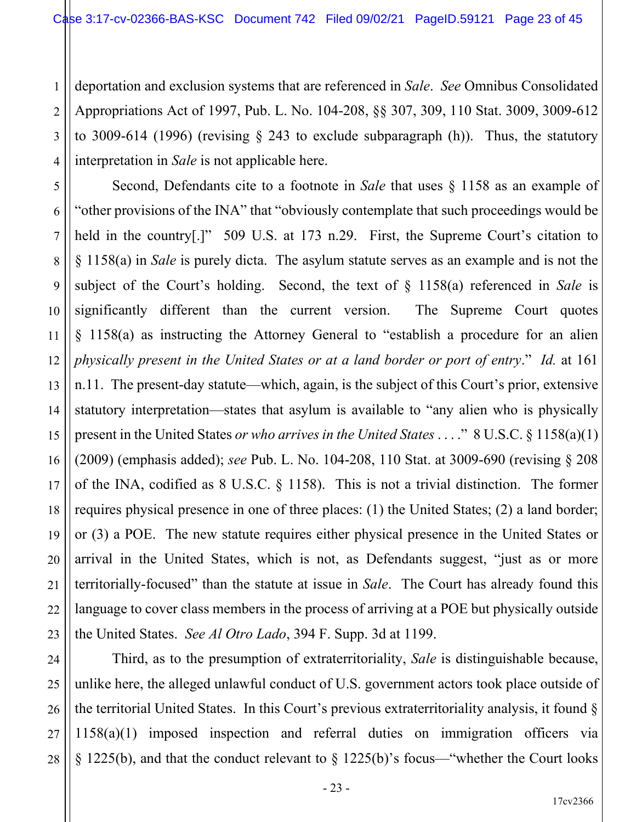1 2 3 4 deportation and exclusion systems that are referenced in *Sale*. *See* Omnibus Consolidated Appropriations Act of 1997, Pub. L. No. 104-208, §§ 307, 309, 110 Stat. 3009, 3009-612 to 3009-614 (1996) (revising § 243 to exclude subparagraph (h)). Thus, the statutory interpretation in *Sale* is not applicable here.

5 6 7 8 9 10 12 13 14 15 16 17 18 19 20 21 22 23 Second, Defendants cite to a footnote in *Sale* that uses § 1158 as an example of "other provisions of the INA" that "obviously contemplate that such proceedings would be held in the country<sup>[1]</sup>" 509 U.S. at 173 n.29. First, the Supreme Court's citation to § 1158(a) in *Sale* is purely dicta. The asylum statute serves as an example and is not the subject of the Court's holding. Second, the text of § 1158(a) referenced in *Sale* is significantly different than the current version. The Supreme Court quotes § 1158(a) as instructing the Attorney General to "establish a procedure for an alien *physically present in the United States or at a land border or port of entry*." *Id.* at 161 n.11. The present-day statute—which, again, is the subject of this Court's prior, extensive statutory interpretation—states that asylum is available to "any alien who is physically present in the United States *or who arrives in the United States* . . . ." 8 U.S.C. § 1158(a)(1) (2009) (emphasis added); *see* Pub. L. No. 104-208, 110 Stat. at 3009-690 (revising § 208 of the INA, codified as 8 U.S.C. § 1158). This is not a trivial distinction. The former requires physical presence in one of three places: (1) the United States; (2) a land border; or (3) a POE. The new statute requires either physical presence in the United States or arrival in the United States, which is not, as Defendants suggest, "just as or more territorially-focused" than the statute at issue in *Sale*. The Court has already found this language to cover class members in the process of arriving at a POE but physically outside the United States. *See Al Otro Lado*, 394 F. Supp. 3d at 1199.

11

24

25

26

27

28

Third, as to the presumption of extraterritoriality, *Sale* is distinguishable because, unlike here, the alleged unlawful conduct of U.S. government actors took place outside of the territorial United States. In this Court's previous extraterritoriality analysis, it found § 1158(a)(1) imposed inspection and referral duties on immigration officers via § 1225(b), and that the conduct relevant to § 1225(b)'s focus—"whether the Court looks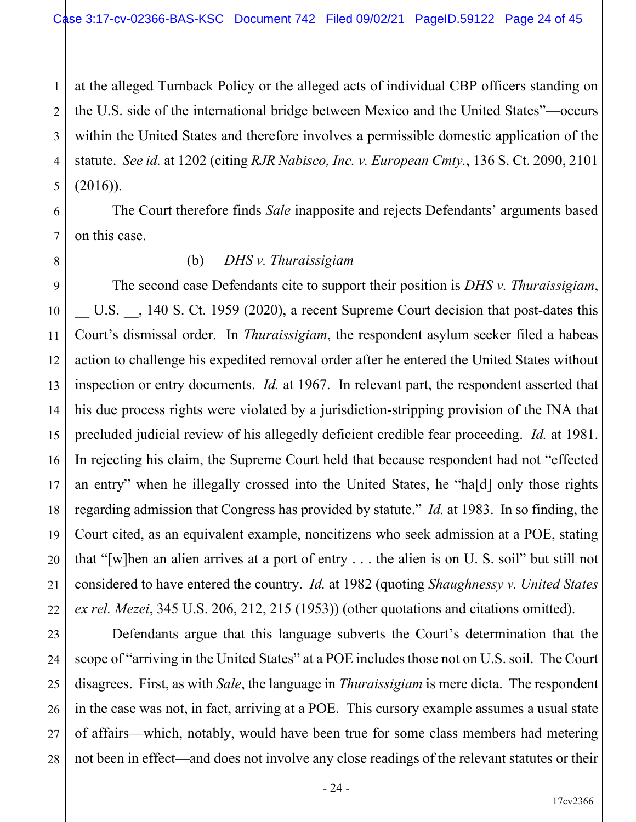1 2 3 4 5 at the alleged Turnback Policy or the alleged acts of individual CBP officers standing on the U.S. side of the international bridge between Mexico and the United States"—occurs within the United States and therefore involves a permissible domestic application of the statute. *See id.* at 1202 (citing *RJR Nabisco, Inc. v. European Cmty.*, 136 S. Ct. 2090, 2101  $(2016)$ ).

The Court therefore finds *Sale* inapposite and rejects Defendants' arguments based on this case.

### (b) *DHS v. Thuraissigiam*

6

7

8

9

10

11

12

13

14

15

16

17

18

19

20

21

22

23

24

25

26

27

28

The second case Defendants cite to support their position is *DHS v. Thuraissigiam*, U.S.  $\phantom{0}$ , 140 S. Ct. 1959 (2020), a recent Supreme Court decision that post-dates this Court's dismissal order. In *Thuraissigiam*, the respondent asylum seeker filed a habeas action to challenge his expedited removal order after he entered the United States without inspection or entry documents. *Id.* at 1967. In relevant part, the respondent asserted that his due process rights were violated by a jurisdiction-stripping provision of the INA that precluded judicial review of his allegedly deficient credible fear proceeding. *Id.* at 1981. In rejecting his claim, the Supreme Court held that because respondent had not "effected an entry" when he illegally crossed into the United States, he "ha[d] only those rights regarding admission that Congress has provided by statute." *Id.* at 1983. In so finding, the Court cited, as an equivalent example, noncitizens who seek admission at a POE, stating that "[w]hen an alien arrives at a port of entry . . . the alien is on U. S. soil" but still not considered to have entered the country. *Id.* at 1982 (quoting *Shaughnessy v. United States ex rel. Mezei*, 345 U.S. 206, 212, 215 (1953)) (other quotations and citations omitted).

Defendants argue that this language subverts the Court's determination that the scope of "arriving in the United States" at a POE includes those not on U.S. soil. The Court disagrees. First, as with *Sale*, the language in *Thuraissigiam* is mere dicta. The respondent in the case was not, in fact, arriving at a POE. This cursory example assumes a usual state of affairs—which, notably, would have been true for some class members had metering not been in effect—and does not involve any close readings of the relevant statutes or their

17cv2366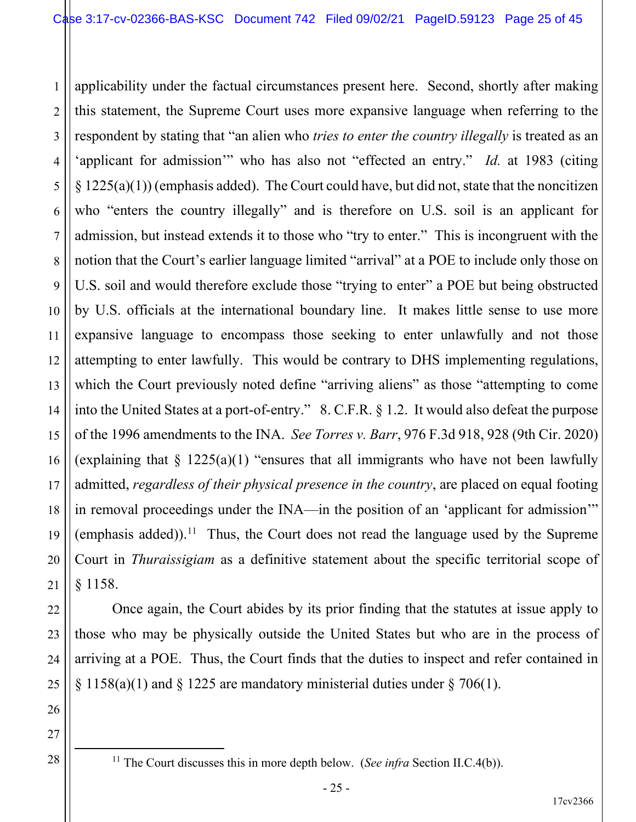1 2 3 4 5 6 7 8 9 10 11 12 13 14 15 16 17 18 19 20 21 applicability under the factual circumstances present here. Second, shortly after making this statement, the Supreme Court uses more expansive language when referring to the respondent by stating that "an alien who *tries to enter the country illegally* is treated as an 'applicant for admission'" who has also not "effected an entry." *Id.* at 1983 (citing  $\S 1225(a)(1)$  (emphasis added). The Court could have, but did not, state that the noncitizen who "enters the country illegally" and is therefore on U.S. soil is an applicant for admission, but instead extends it to those who "try to enter." This is incongruent with the notion that the Court's earlier language limited "arrival" at a POE to include only those on U.S. soil and would therefore exclude those "trying to enter" a POE but being obstructed by U.S. officials at the international boundary line. It makes little sense to use more expansive language to encompass those seeking to enter unlawfully and not those attempting to enter lawfully. This would be contrary to DHS implementing regulations, which the Court previously noted define "arriving aliens" as those "attempting to come into the United States at a port-of-entry." 8. C.F.R. § 1.2. It would also defeat the purpose of the 1996 amendments to the INA. *See Torres v. Barr*, 976 F.3d 918, 928 (9th Cir. 2020) (explaining that  $\S$  1225(a)(1) "ensures that all immigrants who have not been lawfully admitted, *regardless of their physical presence in the country*, are placed on equal footing in removal proceedings under the INA—in the position of an 'applicant for admission'" (emphasis added)).<sup>11</sup> Thus, the Court does not read the language used by the Supreme Court in *Thuraissigiam* as a definitive statement about the specific territorial scope of § 1158.

Once again, the Court abides by its prior finding that the statutes at issue apply to those who may be physically outside the United States but who are in the process of arriving at a POE. Thus, the Court finds that the duties to inspect and refer contained in  $\S 1158(a)(1)$  and  $\S 1225$  are mandatory ministerial duties under  $\S 706(1)$ .

<sup>11</sup> The Court discusses this in more depth below. (*See infra* Section II.C.4(b)).

22

23

24

25

26

27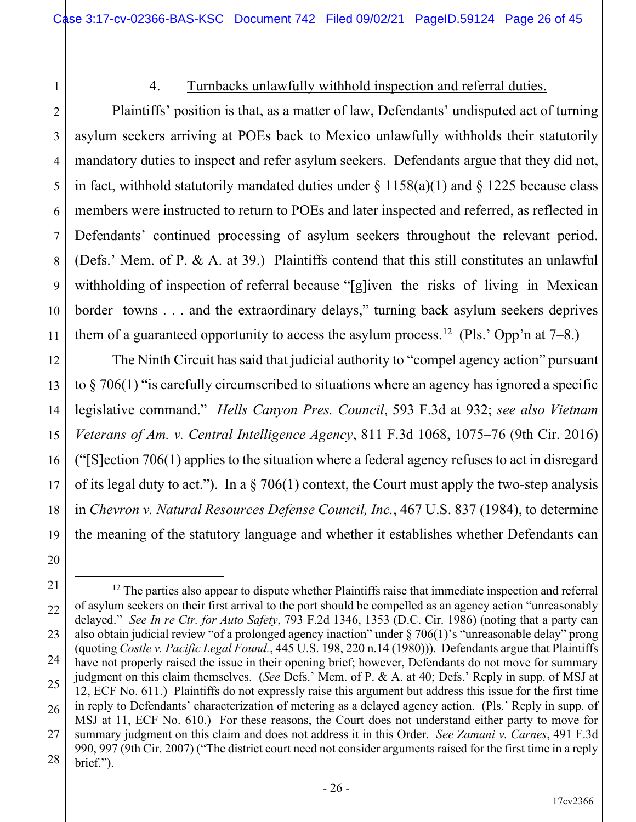1 2

3

4

5

6

7

8

9

10

11

12

13

14

15

16

17

18

19

20

## 4. Turnbacks unlawfully withhold inspection and referral duties.

Plaintiffs' position is that, as a matter of law, Defendants' undisputed act of turning asylum seekers arriving at POEs back to Mexico unlawfully withholds their statutorily mandatory duties to inspect and refer asylum seekers. Defendants argue that they did not, in fact, withhold statutorily mandated duties under  $\S$  1158(a)(1) and  $\S$  1225 because class members were instructed to return to POEs and later inspected and referred, as reflected in Defendants' continued processing of asylum seekers throughout the relevant period. (Defs.' Mem. of P. & A. at 39.) Plaintiffs contend that this still constitutes an unlawful withholding of inspection of referral because "[g]iven the risks of living in Mexican border towns . . . and the extraordinary delays," turning back asylum seekers deprives them of a guaranteed opportunity to access the asylum process.<sup>12</sup> (Pls.' Opp'n at 7–8.)

The Ninth Circuit has said that judicial authority to "compel agency action" pursuant to § 706(1) "is carefully circumscribed to situations where an agency has ignored a specific legislative command." *Hells Canyon Pres. Council*, 593 F.3d at 932; *see also Vietnam Veterans of Am. v. Central Intelligence Agency*, 811 F.3d 1068, 1075–76 (9th Cir. 2016) ("[S]ection 706(1) applies to the situation where a federal agency refuses to act in disregard of its legal duty to act."). In a  $\S 706(1)$  context, the Court must apply the two-step analysis in *Chevron v. Natural Resources Defense Council, Inc.*, 467 U.S. 837 (1984), to determine the meaning of the statutory language and whether it establishes whether Defendants can

<sup>21</sup> 22 23 24 25 26 27 28  $12$  The parties also appear to dispute whether Plaintiffs raise that immediate inspection and referral of asylum seekers on their first arrival to the port should be compelled as an agency action "unreasonably delayed." *See In re Ctr. for Auto Safety*, 793 F.2d 1346, 1353 (D.C. Cir. 1986) (noting that a party can also obtain judicial review "of a prolonged agency inaction" under § 706(1)'s "unreasonable delay" prong (quoting *Costle v. Pacific Legal Found.*, 445 U.S. 198, 220 n.14 (1980))). Defendants argue that Plaintiffs have not properly raised the issue in their opening brief; however, Defendants do not move for summary judgment on this claim themselves. (*See* Defs.' Mem. of P. & A. at 40; Defs.' Reply in supp. of MSJ at 12, ECF No. 611.) Plaintiffs do not expressly raise this argument but address this issue for the first time in reply to Defendants' characterization of metering as a delayed agency action. (Pls.' Reply in supp. of MSJ at 11, ECF No. 610.) For these reasons, the Court does not understand either party to move for summary judgment on this claim and does not address it in this Order. *See Zamani v. Carnes*, 491 F.3d 990, 997 (9th Cir. 2007) ("The district court need not consider arguments raised for the first time in a reply brief.").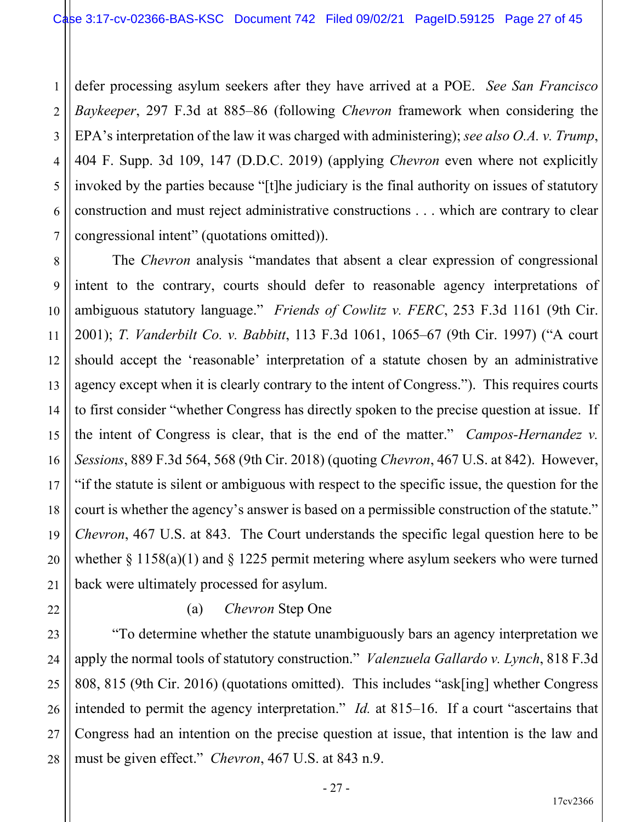1 2 3 4 5 6 7 defer processing asylum seekers after they have arrived at a POE. *See San Francisco Baykeeper*, 297 F.3d at 885–86 (following *Chevron* framework when considering the EPA's interpretation of the law it was charged with administering); *see also O.A. v. Trump*, 404 F. Supp. 3d 109, 147 (D.D.C. 2019) (applying *Chevron* even where not explicitly invoked by the parties because "[t]he judiciary is the final authority on issues of statutory construction and must reject administrative constructions . . . which are contrary to clear congressional intent" (quotations omitted)).

8 12 13 14 15 16 18 19 20 The *Chevron* analysis "mandates that absent a clear expression of congressional intent to the contrary, courts should defer to reasonable agency interpretations of ambiguous statutory language." *Friends of Cowlitz v. FERC*, 253 F.3d 1161 (9th Cir. 2001); *T. Vanderbilt Co. v. Babbitt*, 113 F.3d 1061, 1065–67 (9th Cir. 1997) ("A court should accept the 'reasonable' interpretation of a statute chosen by an administrative agency except when it is clearly contrary to the intent of Congress."). This requires courts to first consider "whether Congress has directly spoken to the precise question at issue. If the intent of Congress is clear, that is the end of the matter." *Campos-Hernandez v. Sessions*, 889 F.3d 564, 568 (9th Cir. 2018) (quoting *Chevron*, 467 U.S. at 842). However, "if the statute is silent or ambiguous with respect to the specific issue, the question for the court is whether the agency's answer is based on a permissible construction of the statute." *Chevron*, 467 U.S. at 843. The Court understands the specific legal question here to be whether  $\S 1158(a)(1)$  and  $\S 1225$  permit metering where asylum seekers who were turned back were ultimately processed for asylum.

## (a) *Chevron* Step One

9

10

11

17

21

22

23

24

25

26

27

28

"To determine whether the statute unambiguously bars an agency interpretation we apply the normal tools of statutory construction." *Valenzuela Gallardo v. Lynch*, 818 F.3d 808, 815 (9th Cir. 2016) (quotations omitted). This includes "ask[ing] whether Congress intended to permit the agency interpretation." *Id.* at 815–16. If a court "ascertains that Congress had an intention on the precise question at issue, that intention is the law and must be given effect." *Chevron*, 467 U.S. at 843 n.9.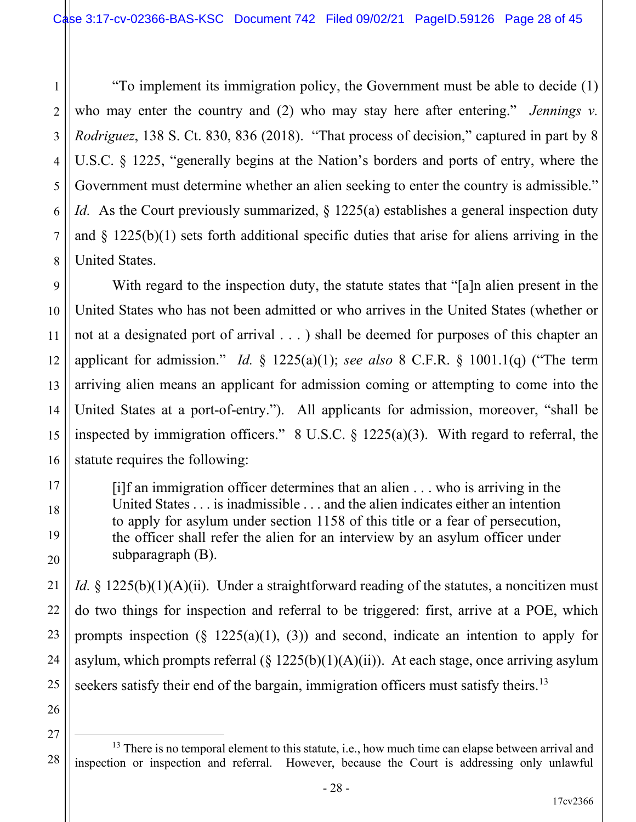1 2 3 4 5 6 7 8 "To implement its immigration policy, the Government must be able to decide (1) who may enter the country and (2) who may stay here after entering." *Jennings v. Rodriguez*, 138 S. Ct. 830, 836 (2018). "That process of decision," captured in part by 8 U.S.C. § 1225, "generally begins at the Nation's borders and ports of entry, where the Government must determine whether an alien seeking to enter the country is admissible." *Id.* As the Court previously summarized, § 1225(a) establishes a general inspection duty and  $\S$  1225(b)(1) sets forth additional specific duties that arise for aliens arriving in the United States.

9 10 11 12 13 14 15 16 With regard to the inspection duty, the statute states that "[a]n alien present in the United States who has not been admitted or who arrives in the United States (whether or not at a designated port of arrival . . . ) shall be deemed for purposes of this chapter an applicant for admission." *Id.* § 1225(a)(1); *see also* 8 C.F.R. § 1001.1(q) ("The term arriving alien means an applicant for admission coming or attempting to come into the United States at a port-of-entry."). All applicants for admission, moreover, "shall be inspected by immigration officers."  $8 \text{ U.S.C.} \$   $1225(a)(3)$ . With regard to referral, the statute requires the following:

[i]f an immigration officer determines that an alien . . . who is arriving in the United States . . . is inadmissible . . . and the alien indicates either an intention to apply for asylum under section 1158 of this title or a fear of persecution, the officer shall refer the alien for an interview by an asylum officer under subparagraph (B).

*Id.* § 1225(b)(1)(A)(ii). Under a straightforward reading of the statutes, a noncitizen must do two things for inspection and referral to be triggered: first, arrive at a POE, which prompts inspection  $(\S 1225(a)(1), (3))$  and second, indicate an intention to apply for asylum, which prompts referral  $(\S 1225(b)(1)(A)(ii))$ . At each stage, once arriving asylum seekers satisfy their end of the bargain, immigration officers must satisfy theirs.<sup>13</sup>

26 27

28

17

18

19

20

21

22

23

24

<sup>&</sup>lt;sup>13</sup> There is no temporal element to this statute, i.e., how much time can elapse between arrival and inspection or inspection and referral. However, because the Court is addressing only unlawful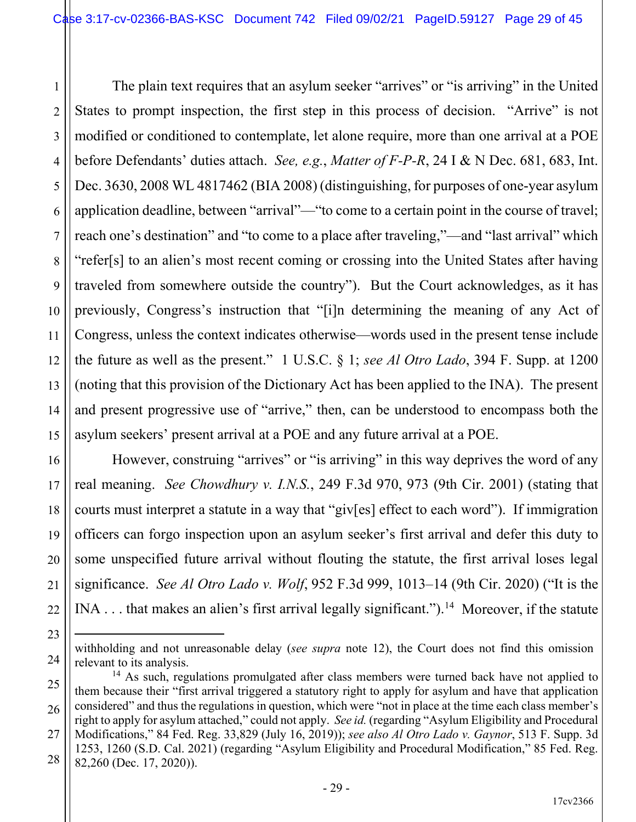1 2 3 4 5 6 7 8 9 10 11 12 13 14 15 The plain text requires that an asylum seeker "arrives" or "is arriving" in the United States to prompt inspection, the first step in this process of decision. "Arrive" is not modified or conditioned to contemplate, let alone require, more than one arrival at a POE before Defendants' duties attach. *See, e.g.*, *Matter of F-P-R*, 24 I & N Dec. 681, 683, Int. Dec. 3630, 2008 WL 4817462 (BIA 2008) (distinguishing, for purposes of one-year asylum application deadline, between "arrival"—"to come to a certain point in the course of travel; reach one's destination" and "to come to a place after traveling,"—and "last arrival" which "refer[s] to an alien's most recent coming or crossing into the United States after having traveled from somewhere outside the country"). But the Court acknowledges, as it has previously, Congress's instruction that "[i]n determining the meaning of any Act of Congress, unless the context indicates otherwise—words used in the present tense include the future as well as the present." 1 U.S.C. § 1; *see Al Otro Lado*, 394 F. Supp. at 1200 (noting that this provision of the Dictionary Act has been applied to the INA). The present and present progressive use of "arrive," then, can be understood to encompass both the asylum seekers' present arrival at a POE and any future arrival at a POE.

However, construing "arrives" or "is arriving" in this way deprives the word of any real meaning. *See Chowdhury v. I.N.S.*, 249 F.3d 970, 973 (9th Cir. 2001) (stating that courts must interpret a statute in a way that "giv[es] effect to each word"). If immigration officers can forgo inspection upon an asylum seeker's first arrival and defer this duty to some unspecified future arrival without flouting the statute, the first arrival loses legal significance. *See Al Otro Lado v. Wolf*, 952 F.3d 999, 1013–14 (9th Cir. 2020) ("It is the INA . . . that makes an alien's first arrival legally significant.").<sup>14</sup> Moreover, if the statute

16

17

18

19

20

21

22

23

withholding and not unreasonable delay (*see supra* note 12), the Court does not find this omission relevant to its analysis.

<sup>25</sup> 26 27 <sup>14</sup> As such, regulations promulgated after class members were turned back have not applied to them because their "first arrival triggered a statutory right to apply for asylum and have that application considered" and thus the regulations in question, which were "not in place at the time each class member's right to apply for asylum attached," could not apply. *See id.* (regarding "Asylum Eligibility and Procedural Modifications," 84 Fed. Reg. 33,829 (July 16, 2019)); *see also Al Otro Lado v. Gaynor*, 513 F. Supp. 3d

<sup>28</sup> 1253, 1260 (S.D. Cal. 2021) (regarding "Asylum Eligibility and Procedural Modification," 85 Fed. Reg. 82,260 (Dec. 17, 2020)).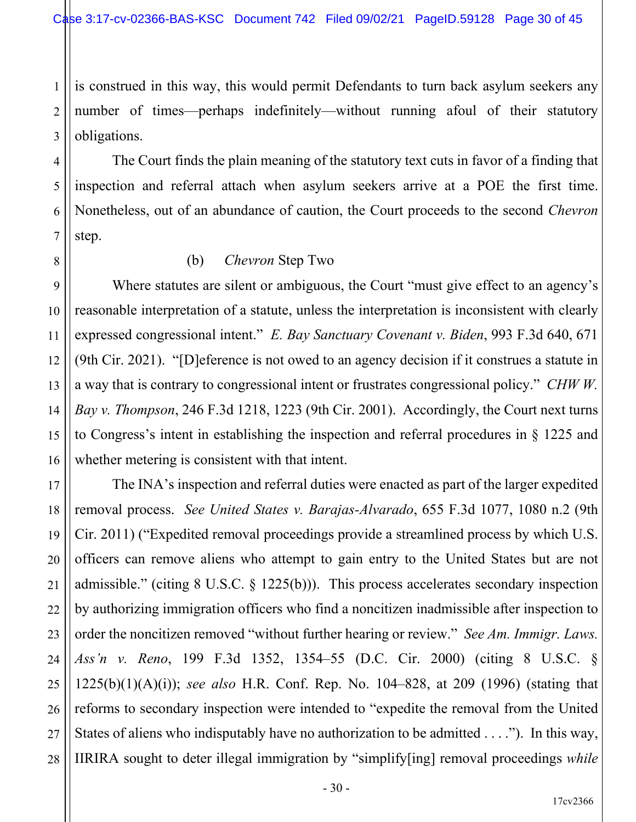1 2 3 is construed in this way, this would permit Defendants to turn back asylum seekers any number of times—perhaps indefinitely—without running afoul of their statutory obligations.

The Court finds the plain meaning of the statutory text cuts in favor of a finding that inspection and referral attach when asylum seekers arrive at a POE the first time. Nonetheless, out of an abundance of caution, the Court proceeds to the second *Chevron* step.

(b) *Chevron* Step Two

4

5

6

7

8

9

10

11

12 13 14 15 16 Where statutes are silent or ambiguous, the Court "must give effect to an agency's reasonable interpretation of a statute, unless the interpretation is inconsistent with clearly expressed congressional intent." *E. Bay Sanctuary Covenant v. Biden*, 993 F.3d 640, 671 (9th Cir. 2021). "[D]eference is not owed to an agency decision if it construes a statute in a way that is contrary to congressional intent or frustrates congressional policy." *CHW W. Bay v. Thompson*, 246 F.3d 1218, 1223 (9th Cir. 2001). Accordingly, the Court next turns to Congress's intent in establishing the inspection and referral procedures in § 1225 and whether metering is consistent with that intent.

17 18 19 20 21 22 23 24 25 26 27 28 The INA's inspection and referral duties were enacted as part of the larger expedited removal process. *See United States v. Barajas-Alvarado*, 655 F.3d 1077, 1080 n.2 (9th Cir. 2011) ("Expedited removal proceedings provide a streamlined process by which U.S. officers can remove aliens who attempt to gain entry to the United States but are not admissible." (citing 8 U.S.C. § 1225(b))). This process accelerates secondary inspection by authorizing immigration officers who find a noncitizen inadmissible after inspection to order the noncitizen removed "without further hearing or review." *See Am. Immigr. Laws. Ass'n v. Reno*, 199 F.3d 1352, 1354–55 (D.C. Cir. 2000) (citing 8 U.S.C. § 1225(b)(1)(A)(i)); *see also* H.R. Conf. Rep. No. 104–828, at 209 (1996) (stating that reforms to secondary inspection were intended to "expedite the removal from the United States of aliens who indisputably have no authorization to be admitted . . . ."). In this way, IIRIRA sought to deter illegal immigration by "simplify[ing] removal proceedings *while*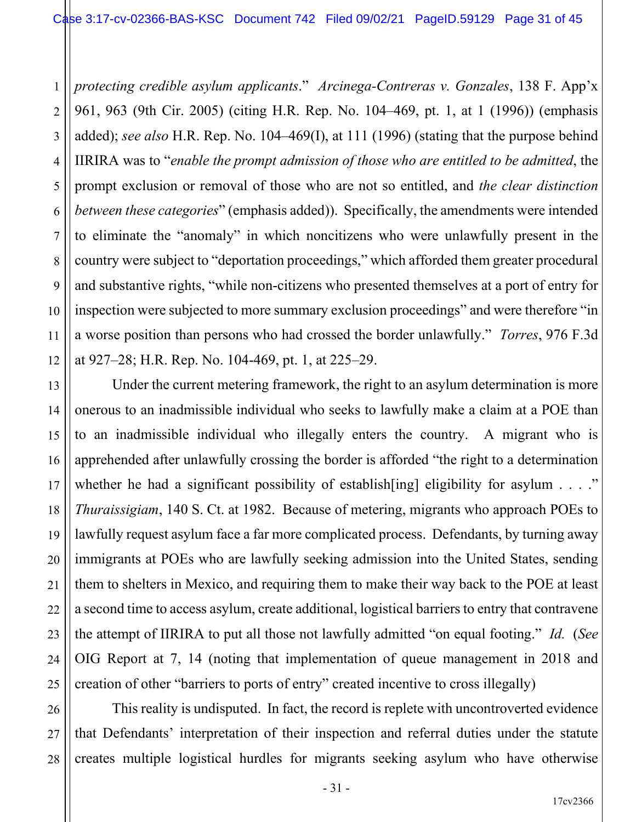1 2 3 4 5 6 7 8 9 10 11 12 *protecting credible asylum applicants*." *Arcinega-Contreras v. Gonzales*, 138 F. App'x 961, 963 (9th Cir. 2005) (citing H.R. Rep. No. 104–469, pt. 1, at 1 (1996)) (emphasis added); *see also* H.R. Rep. No. 104–469(I), at 111 (1996) (stating that the purpose behind IIRIRA was to "*enable the prompt admission of those who are entitled to be admitted*, the prompt exclusion or removal of those who are not so entitled, and *the clear distinction between these categories*" (emphasis added)). Specifically, the amendments were intended to eliminate the "anomaly" in which noncitizens who were unlawfully present in the country were subject to "deportation proceedings," which afforded them greater procedural and substantive rights, "while non-citizens who presented themselves at a port of entry for inspection were subjected to more summary exclusion proceedings" and were therefore "in a worse position than persons who had crossed the border unlawfully." *Torres*, 976 F.3d at 927–28; H.R. Rep. No. 104-469, pt. 1, at 225–29.

Under the current metering framework, the right to an asylum determination is more onerous to an inadmissible individual who seeks to lawfully make a claim at a POE than to an inadmissible individual who illegally enters the country. A migrant who is apprehended after unlawfully crossing the border is afforded "the right to a determination whether he had a significant possibility of establish [ing] eligibility for asylum  $\dots$ ." *Thuraissigiam*, 140 S. Ct. at 1982. Because of metering, migrants who approach POEs to lawfully request asylum face a far more complicated process. Defendants, by turning away immigrants at POEs who are lawfully seeking admission into the United States, sending them to shelters in Mexico, and requiring them to make their way back to the POE at least a second time to access asylum, create additional, logistical barriers to entry that contravene the attempt of IIRIRA to put all those not lawfully admitted "on equal footing." *Id.* (*See* OIG Report at 7, 14 (noting that implementation of queue management in 2018 and creation of other "barriers to ports of entry" created incentive to cross illegally)

13

14

15

16

17

18

19

20

21

22

23

24

25

26 27 28 This reality is undisputed. In fact, the record is replete with uncontroverted evidence that Defendants' interpretation of their inspection and referral duties under the statute creates multiple logistical hurdles for migrants seeking asylum who have otherwise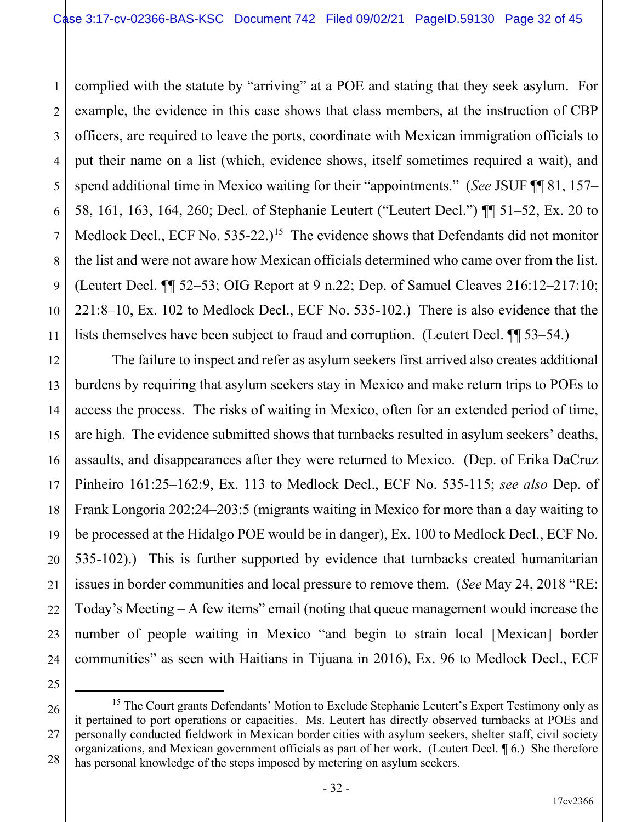1 2 3 4 5 6 7 8 9 10 11 complied with the statute by "arriving" at a POE and stating that they seek asylum. For example, the evidence in this case shows that class members, at the instruction of CBP officers, are required to leave the ports, coordinate with Mexican immigration officials to put their name on a list (which, evidence shows, itself sometimes required a wait), and spend additional time in Mexico waiting for their "appointments." (*See* JSUF ¶¶ 81, 157– 58, 161, 163, 164, 260; Decl. of Stephanie Leutert ("Leutert Decl.") ¶¶ 51–52, Ex. 20 to Medlock Decl., ECF No.  $535-22$ .)<sup>15</sup> The evidence shows that Defendants did not monitor the list and were not aware how Mexican officials determined who came over from the list. (Leutert Decl. ¶¶ 52–53; OIG Report at 9 n.22; Dep. of Samuel Cleaves 216:12–217:10; 221:8–10, Ex. 102 to Medlock Decl., ECF No. 535-102.) There is also evidence that the lists themselves have been subject to fraud and corruption. (Leutert Decl. ¶¶ 53–54.)

12 13 14 15 16 17 18 19 20 21 The failure to inspect and refer as asylum seekers first arrived also creates additional burdens by requiring that asylum seekers stay in Mexico and make return trips to POEs to access the process. The risks of waiting in Mexico, often for an extended period of time, are high. The evidence submitted shows that turnbacks resulted in asylum seekers' deaths, assaults, and disappearances after they were returned to Mexico. (Dep. of Erika DaCruz Pinheiro 161:25–162:9, Ex. 113 to Medlock Decl., ECF No. 535-115; *see also* Dep. of Frank Longoria 202:24–203:5 (migrants waiting in Mexico for more than a day waiting to be processed at the Hidalgo POE would be in danger), Ex. 100 to Medlock Decl., ECF No. 535-102).) This is further supported by evidence that turnbacks created humanitarian issues in border communities and local pressure to remove them. (*See* May 24, 2018 "RE: Today's Meeting  $-A$  few items" email (noting that queue management would increase the number of people waiting in Mexico "and begin to strain local [Mexican] border communities" as seen with Haitians in Tijuana in 2016), Ex. 96 to Medlock Decl., ECF

27

<sup>22</sup> 23 24 25 26

<sup>&</sup>lt;sup>15</sup> The Court grants Defendants' Motion to Exclude Stephanie Leutert's Expert Testimony only as it pertained to port operations or capacities. Ms. Leutert has directly observed turnbacks at POEs and personally conducted fieldwork in Mexican border cities with asylum seekers, shelter staff, civil society organizations, and Mexican government officials as part of her work. (Leutert Decl. ¶ 6.) She therefore has personal knowledge of the steps imposed by metering on asylum seekers.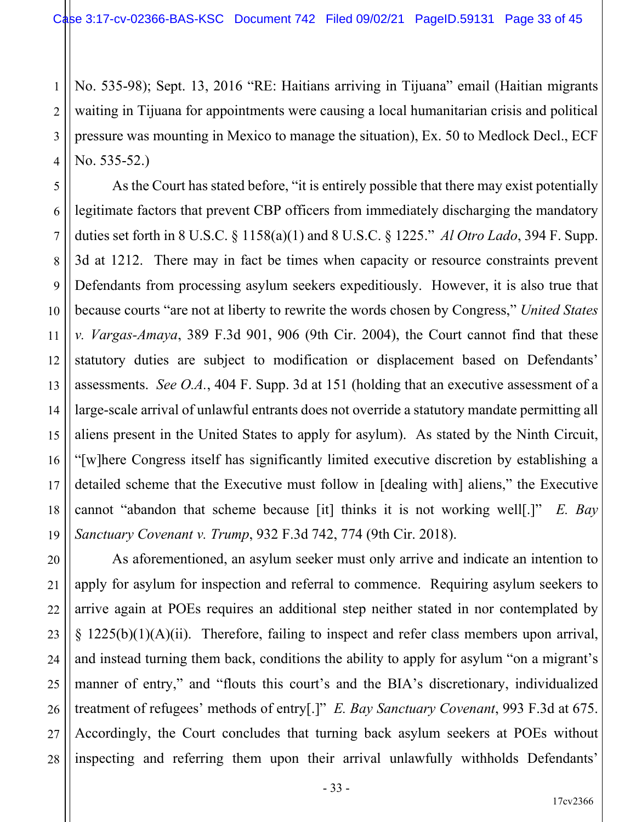1 2 3 4 No. 535-98); Sept. 13, 2016 "RE: Haitians arriving in Tijuana" email (Haitian migrants waiting in Tijuana for appointments were causing a local humanitarian crisis and political pressure was mounting in Mexico to manage the situation), Ex. 50 to Medlock Decl., ECF No. 535-52.)

5 6 7 8 9 10 11 12 13 14 15 16 17 18 19 As the Court has stated before, "it is entirely possible that there may exist potentially legitimate factors that prevent CBP officers from immediately discharging the mandatory duties set forth in 8 U.S.C. § 1158(a)(1) and 8 U.S.C. § 1225." *Al Otro Lado*, 394 F. Supp. 3d at 1212. There may in fact be times when capacity or resource constraints prevent Defendants from processing asylum seekers expeditiously. However, it is also true that because courts "are not at liberty to rewrite the words chosen by Congress," *United States v. Vargas-Amaya*, 389 F.3d 901, 906 (9th Cir. 2004), the Court cannot find that these statutory duties are subject to modification or displacement based on Defendants' assessments. *See O.A.*, 404 F. Supp. 3d at 151 (holding that an executive assessment of a large-scale arrival of unlawful entrants does not override a statutory mandate permitting all aliens present in the United States to apply for asylum). As stated by the Ninth Circuit, "[w]here Congress itself has significantly limited executive discretion by establishing a detailed scheme that the Executive must follow in [dealing with] aliens," the Executive cannot "abandon that scheme because [it] thinks it is not working well[.]" *E. Bay Sanctuary Covenant v. Trump*, 932 F.3d 742, 774 (9th Cir. 2018).

20 22 23 24 25 26 27 28 As aforementioned, an asylum seeker must only arrive and indicate an intention to apply for asylum for inspection and referral to commence. Requiring asylum seekers to arrive again at POEs requires an additional step neither stated in nor contemplated by  $\S$  1225(b)(1)(A)(ii). Therefore, failing to inspect and refer class members upon arrival, and instead turning them back, conditions the ability to apply for asylum "on a migrant's manner of entry," and "flouts this court's and the BIA's discretionary, individualized treatment of refugees' methods of entry[.]" *E. Bay Sanctuary Covenant*, 993 F.3d at 675. Accordingly, the Court concludes that turning back asylum seekers at POEs without inspecting and referring them upon their arrival unlawfully withholds Defendants'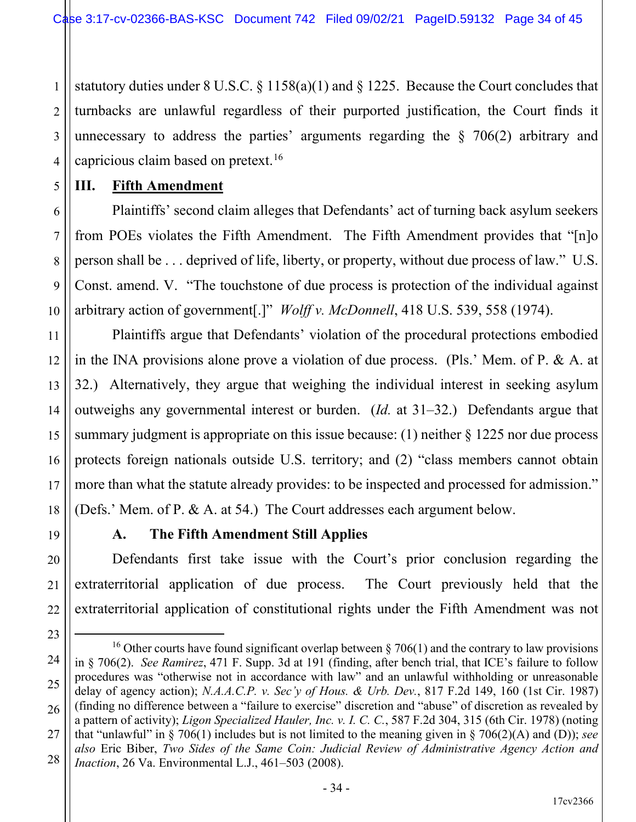1 2 3 4 statutory duties under 8 U.S.C. § 1158(a)(1) and § 1225. Because the Court concludes that turnbacks are unlawful regardless of their purported justification, the Court finds it unnecessary to address the parties' arguments regarding the  $\S$  706(2) arbitrary and capricious claim based on pretext.16

**III. Fifth Amendment**

5

6

7

8

9

10

11

17

19

20

21

22

25

Plaintiffs' second claim alleges that Defendants' act of turning back asylum seekers from POEs violates the Fifth Amendment. The Fifth Amendment provides that "[n]o person shall be . . . deprived of life, liberty, or property, without due process of law." U.S. Const. amend. V. "The touchstone of due process is protection of the individual against arbitrary action of government[.]" *Wolff v. McDonnell*, 418 U.S. 539, 558 (1974).

12 13 14 15 16 18 Plaintiffs argue that Defendants' violation of the procedural protections embodied in the INA provisions alone prove a violation of due process. (Pls.' Mem. of P. & A. at 32.) Alternatively, they argue that weighing the individual interest in seeking asylum outweighs any governmental interest or burden. (*Id.* at 31–32.) Defendants argue that summary judgment is appropriate on this issue because: (1) neither  $\S$  1225 nor due process protects foreign nationals outside U.S. territory; and (2) "class members cannot obtain more than what the statute already provides: to be inspected and processed for admission." (Defs.' Mem. of P. & A. at 54.) The Court addresses each argument below.

**A. The Fifth Amendment Still Applies**

Defendants first take issue with the Court's prior conclusion regarding the extraterritorial application of due process. The Court previously held that the extraterritorial application of constitutional rights under the Fifth Amendment was not

<sup>23</sup> 24 26 27 28 <sup>16</sup> Other courts have found significant overlap between  $\S 706(1)$  and the contrary to law provisions in § 706(2). *See Ramirez*, 471 F. Supp. 3d at 191 (finding, after bench trial, that ICE's failure to follow procedures was "otherwise not in accordance with law" and an unlawful withholding or unreasonable delay of agency action); *N.A.A.C.P. v. Sec'y of Hous. & Urb. Dev.*, 817 F.2d 149, 160 (1st Cir. 1987) (finding no difference between a "failure to exercise" discretion and "abuse" of discretion as revealed by a pattern of activity); *Ligon Specialized Hauler, Inc. v. I. C. C.*, 587 F.2d 304, 315 (6th Cir. 1978) (noting that "unlawful" in § 706(1) includes but is not limited to the meaning given in § 706(2)(A) and (D)); *see also* Eric Biber, *Two Sides of the Same Coin: Judicial Review of Administrative Agency Action and Inaction*, 26 Va. Environmental L.J., 461–503 (2008).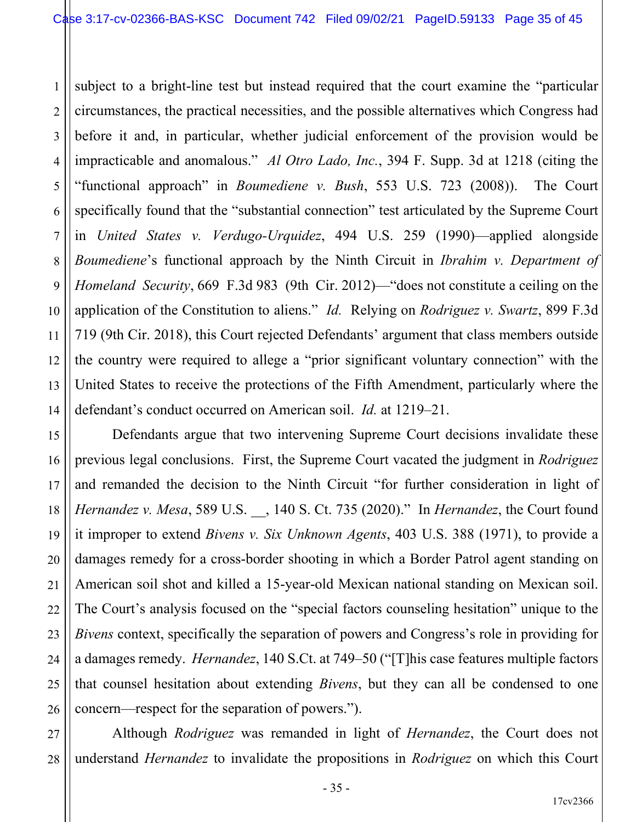1 2 3 4 5 6 7 8 9 10 11 12 13 14 subject to a bright-line test but instead required that the court examine the "particular circumstances, the practical necessities, and the possible alternatives which Congress had before it and, in particular, whether judicial enforcement of the provision would be impracticable and anomalous." *Al Otro Lado, Inc.*, 394 F. Supp. 3d at 1218 (citing the "functional approach" in *Boumediene v. Bush*, 553 U.S. 723 (2008)). The Court specifically found that the "substantial connection" test articulated by the Supreme Court in *United States v. Verdugo-Urquidez*, 494 U.S. 259 (1990)—applied alongside *Boumediene*'s functional approach by the Ninth Circuit in *Ibrahim v. Department of Homeland Security*, 669 F.3d 983 (9th Cir. 2012)—"does not constitute a ceiling on the application of the Constitution to aliens." *Id.* Relying on *Rodriguez v. Swartz*, 899 F.3d 719 (9th Cir. 2018), this Court rejected Defendants' argument that class members outside the country were required to allege a "prior significant voluntary connection" with the United States to receive the protections of the Fifth Amendment, particularly where the defendant's conduct occurred on American soil. *Id.* at 1219–21.

16 19 20 23 24 26 Defendants argue that two intervening Supreme Court decisions invalidate these previous legal conclusions. First, the Supreme Court vacated the judgment in *Rodriguez* and remanded the decision to the Ninth Circuit "for further consideration in light of *Hernandez v. Mesa*, 589 U.S. \_\_, 140 S. Ct. 735 (2020)." In *Hernandez*, the Court found it improper to extend *Bivens v. Six Unknown Agents*, 403 U.S. 388 (1971), to provide a damages remedy for a cross-border shooting in which a Border Patrol agent standing on American soil shot and killed a 15-year-old Mexican national standing on Mexican soil. The Court's analysis focused on the "special factors counseling hesitation" unique to the *Bivens* context, specifically the separation of powers and Congress's role in providing for a damages remedy. *Hernandez*, 140 S.Ct. at 749–50 ("[T]his case features multiple factors that counsel hesitation about extending *Bivens*, but they can all be condensed to one concern—respect for the separation of powers.").

27 28 Although *Rodriguez* was remanded in light of *Hernandez*, the Court does not understand *Hernandez* to invalidate the propositions in *Rodriguez* on which this Court

- 35 -

15

17

18

21

22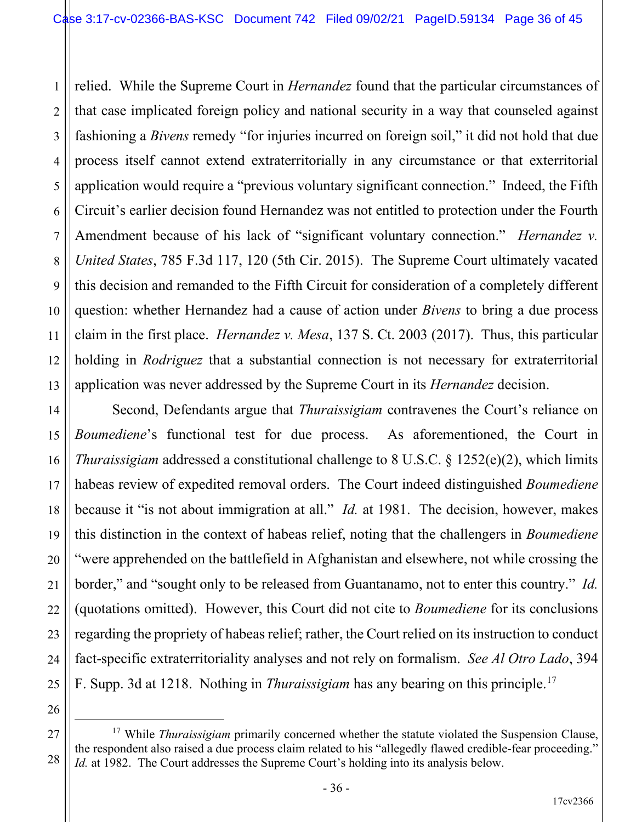1 2 3 4 5 6 7 8 9 10 11 12 13 relied. While the Supreme Court in *Hernandez* found that the particular circumstances of that case implicated foreign policy and national security in a way that counseled against fashioning a *Bivens* remedy "for injuries incurred on foreign soil," it did not hold that due process itself cannot extend extraterritorially in any circumstance or that exterritorial application would require a "previous voluntary significant connection." Indeed, the Fifth Circuit's earlier decision found Hernandez was not entitled to protection under the Fourth Amendment because of his lack of "significant voluntary connection." *Hernandez v. United States*, 785 F.3d 117, 120 (5th Cir. 2015). The Supreme Court ultimately vacated this decision and remanded to the Fifth Circuit for consideration of a completely different question: whether Hernandez had a cause of action under *Bivens* to bring a due process claim in the first place. *Hernandez v. Mesa*, 137 S. Ct. 2003 (2017). Thus, this particular holding in *Rodriguez* that a substantial connection is not necessary for extraterritorial application was never addressed by the Supreme Court in its *Hernandez* decision.

Second, Defendants argue that *Thuraissigiam* contravenes the Court's reliance on *Boumediene*'s functional test for due process. As aforementioned, the Court in *Thuraissigiam* addressed a constitutional challenge to 8 U.S.C. § 1252(e)(2), which limits habeas review of expedited removal orders. The Court indeed distinguished *Boumediene* because it "is not about immigration at all." *Id.* at 1981. The decision, however, makes this distinction in the context of habeas relief, noting that the challengers in *Boumediene* "were apprehended on the battlefield in Afghanistan and elsewhere, not while crossing the border," and "sought only to be released from Guantanamo, not to enter this country." *Id.* (quotations omitted). However, this Court did not cite to *Boumediene* for its conclusions regarding the propriety of habeas relief; rather, the Court relied on its instruction to conduct fact-specific extraterritoriality analyses and not rely on formalism. *See Al Otro Lado*, 394 F. Supp. 3d at 1218. Nothing in *Thuraissigiam* has any bearing on this principle.17

14

15

16

17

18

19

20

21

22

23

24

25

<sup>27</sup> 28 <sup>17</sup> While *Thuraissigiam* primarily concerned whether the statute violated the Suspension Clause, the respondent also raised a due process claim related to his "allegedly flawed credible-fear proceeding." *Id.* at 1982. The Court addresses the Supreme Court's holding into its analysis below.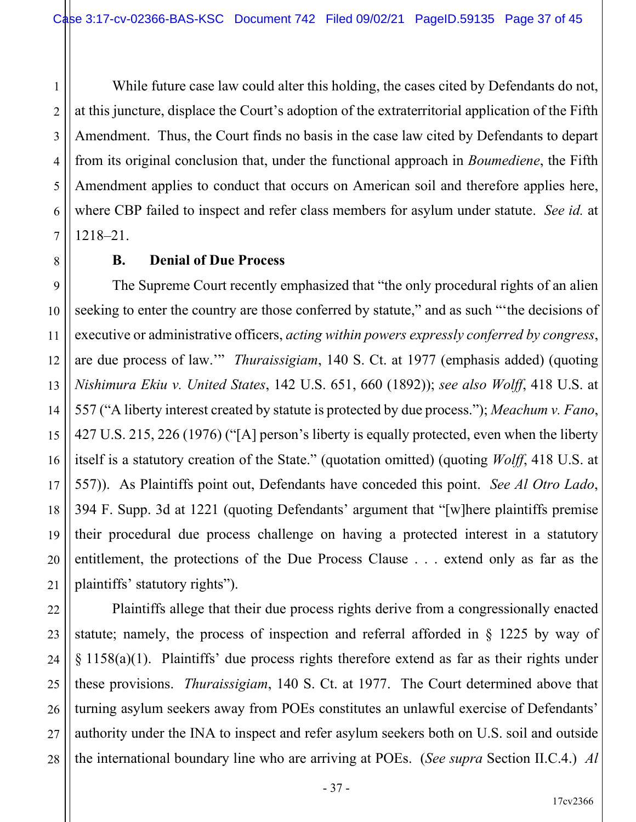4 5 6 7 While future case law could alter this holding, the cases cited by Defendants do not, at this juncture, displace the Court's adoption of the extraterritorial application of the Fifth Amendment. Thus, the Court finds no basis in the case law cited by Defendants to depart from its original conclusion that, under the functional approach in *Boumediene*, the Fifth Amendment applies to conduct that occurs on American soil and therefore applies here, where CBP failed to inspect and refer class members for asylum under statute. *See id.* at 1218–21.

#### **B. Denial of Due Process**

1

2

3

8

9

10

11

12

15

17

21

13 14 16 18 19 20 The Supreme Court recently emphasized that "the only procedural rights of an alien seeking to enter the country are those conferred by statute," and as such "the decisions of executive or administrative officers, *acting within powers expressly conferred by congress*, are due process of law.'" *Thuraissigiam*, 140 S. Ct. at 1977 (emphasis added) (quoting *Nishimura Ekiu v. United States*, 142 U.S. 651, 660 (1892)); *see also Wolff*, 418 U.S. at 557 ("A liberty interest created by statute is protected by due process."); *Meachum v. Fano*, 427 U.S. 215, 226 (1976) ("[A] person's liberty is equally protected, even when the liberty itself is a statutory creation of the State." (quotation omitted) (quoting *Wolff*, 418 U.S. at 557)). As Plaintiffs point out, Defendants have conceded this point. *See Al Otro Lado*, 394 F. Supp. 3d at 1221 (quoting Defendants' argument that "[w]here plaintiffs premise their procedural due process challenge on having a protected interest in a statutory entitlement, the protections of the Due Process Clause . . . extend only as far as the plaintiffs' statutory rights").

22 23 24 25 26 27 28 Plaintiffs allege that their due process rights derive from a congressionally enacted statute; namely, the process of inspection and referral afforded in § 1225 by way of § 1158(a)(1). Plaintiffs' due process rights therefore extend as far as their rights under these provisions. *Thuraissigiam*, 140 S. Ct. at 1977. The Court determined above that turning asylum seekers away from POEs constitutes an unlawful exercise of Defendants' authority under the INA to inspect and refer asylum seekers both on U.S. soil and outside the international boundary line who are arriving at POEs. (*See supra* Section II.C.4.) *Al*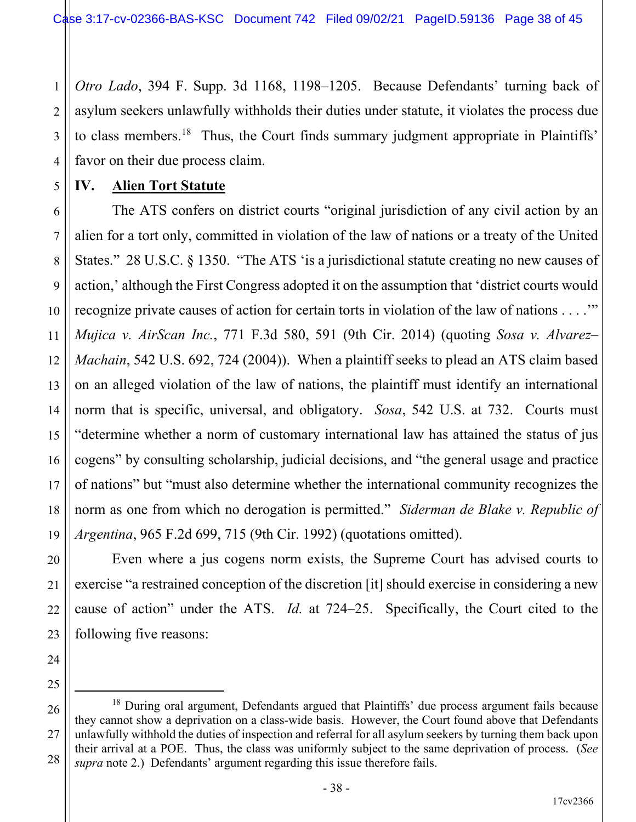1 2 3 4 *Otro Lado*, 394 F. Supp. 3d 1168, 1198–1205. Because Defendants' turning back of asylum seekers unlawfully withholds their duties under statute, it violates the process due to class members.<sup>18</sup> Thus, the Court finds summary judgment appropriate in Plaintiffs' favor on their due process claim.

#### **IV. Alien Tort Statute**

5

6

7

8

9

10

11

12

13

14

15

16

17

18

19

20

21

22

23

24

25

26

27

28

The ATS confers on district courts "original jurisdiction of any civil action by an alien for a tort only, committed in violation of the law of nations or a treaty of the United States." 28 U.S.C. § 1350. "The ATS 'is a jurisdictional statute creating no new causes of action,' although the First Congress adopted it on the assumption that 'district courts would recognize private causes of action for certain torts in violation of the law of nations . . . .'" *Mujica v. AirScan Inc.*, 771 F.3d 580, 591 (9th Cir. 2014) (quoting *Sosa v. Alvarez– Machain*, 542 U.S. 692, 724 (2004)). When a plaintiff seeks to plead an ATS claim based on an alleged violation of the law of nations, the plaintiff must identify an international norm that is specific, universal, and obligatory. *Sosa*, 542 U.S. at 732. Courts must "determine whether a norm of customary international law has attained the status of jus cogens" by consulting scholarship, judicial decisions, and "the general usage and practice of nations" but "must also determine whether the international community recognizes the norm as one from which no derogation is permitted." *Siderman de Blake v. Republic of Argentina*, 965 F.2d 699, 715 (9th Cir. 1992) (quotations omitted).

Even where a jus cogens norm exists, the Supreme Court has advised courts to exercise "a restrained conception of the discretion [it] should exercise in considering a new cause of action" under the ATS. *Id.* at 724–25. Specifically, the Court cited to the following five reasons:

 $18$  During oral argument, Defendants argued that Plaintiffs' due process argument fails because they cannot show a deprivation on a class-wide basis. However, the Court found above that Defendants unlawfully withhold the duties of inspection and referral for all asylum seekers by turning them back upon their arrival at a POE. Thus, the class was uniformly subject to the same deprivation of process. (*See supra* note 2.) Defendants' argument regarding this issue therefore fails.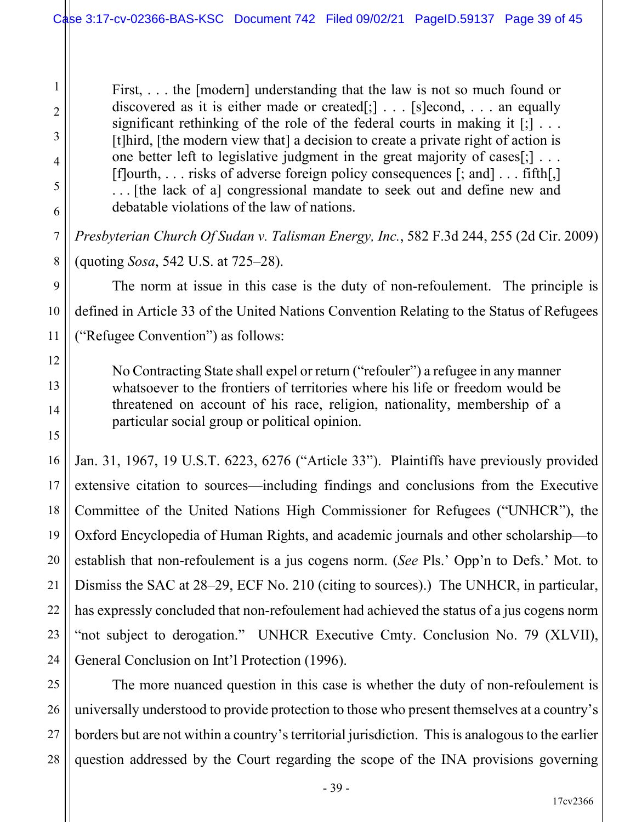First, ... the [modern] understanding that the law is not so much found or discovered as it is either made or created[;]  $\ldots$  [s] econd, ... an equally significant rethinking of the role of the federal courts in making it  $[\cdot]$ ... [t]hird, [the modern view that] a decision to create a private right of action is one better left to legislative judgment in the great majority of cases[;] . . . [f]ourth, . . . risks of adverse foreign policy consequences [; and] . . . fifth[,] . . . [the lack of a] congressional mandate to seek out and define new and debatable violations of the law of nations.

*Presbyterian Church Of Sudan v. Talisman Energy, Inc.*, 582 F.3d 244, 255 (2d Cir. 2009) (quoting *Sosa*, 542 U.S. at 725–28).

The norm at issue in this case is the duty of non-refoulement. The principle is defined in Article 33 of the United Nations Convention Relating to the Status of Refugees ("Refugee Convention") as follows:

No Contracting State shall expel or return ("refouler") a refugee in any manner whatsoever to the frontiers of territories where his life or freedom would be threatened on account of his race, religion, nationality, membership of a particular social group or political opinion.

Jan. 31, 1967, 19 U.S.T. 6223, 6276 ("Article 33"). Plaintiffs have previously provided extensive citation to sources—including findings and conclusions from the Executive Committee of the United Nations High Commissioner for Refugees ("UNHCR"), the Oxford Encyclopedia of Human Rights, and academic journals and other scholarship—to establish that non-refoulement is a jus cogens norm. (*See* Pls.' Opp'n to Defs.' Mot. to Dismiss the SAC at 28–29, ECF No. 210 (citing to sources).) The UNHCR, in particular, has expressly concluded that non-refoulement had achieved the status of a jus cogens norm "not subject to derogation." UNHCR Executive Cmty. Conclusion No. 79 (XLVII), General Conclusion on Int'l Protection (1996).

The more nuanced question in this case is whether the duty of non-refoulement is universally understood to provide protection to those who present themselves at a country's borders but are not within a country's territorial jurisdiction. This is analogous to the earlier question addressed by the Court regarding the scope of the INA provisions governing

1

2

3

4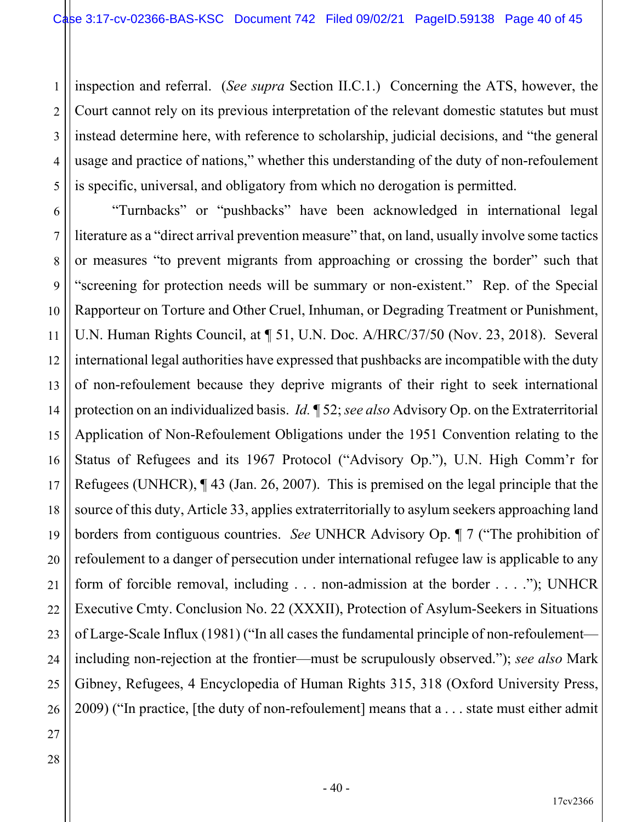1 2 3 4 5 inspection and referral. (*See supra* Section II.C.1.) Concerning the ATS, however, the Court cannot rely on its previous interpretation of the relevant domestic statutes but must instead determine here, with reference to scholarship, judicial decisions, and "the general usage and practice of nations," whether this understanding of the duty of non-refoulement is specific, universal, and obligatory from which no derogation is permitted.

6 7 8 9 10 11 12 13 14 15 16 17 18 19 20 21 22 23 24 25 26 "Turnbacks" or "pushbacks" have been acknowledged in international legal literature as a "direct arrival prevention measure" that, on land, usually involve some tactics or measures "to prevent migrants from approaching or crossing the border" such that "screening for protection needs will be summary or non-existent." Rep. of the Special Rapporteur on Torture and Other Cruel, Inhuman, or Degrading Treatment or Punishment, U.N. Human Rights Council, at ¶ 51, U.N. Doc. A/HRC/37/50 (Nov. 23, 2018). Several international legal authorities have expressed that pushbacks are incompatible with the duty of non-refoulement because they deprive migrants of their right to seek international protection on an individualized basis. *Id.* ¶ 52; *see also* Advisory Op. on the Extraterritorial Application of Non-Refoulement Obligations under the 1951 Convention relating to the Status of Refugees and its 1967 Protocol ("Advisory Op."), U.N. High Comm'r for Refugees (UNHCR), ¶ 43 (Jan. 26, 2007). This is premised on the legal principle that the source of this duty, Article 33, applies extraterritorially to asylum seekers approaching land borders from contiguous countries. *See* UNHCR Advisory Op. ¶ 7 ("The prohibition of refoulement to a danger of persecution under international refugee law is applicable to any form of forcible removal, including . . . non-admission at the border . . . ."); UNHCR Executive Cmty. Conclusion No. 22 (XXXII), Protection of Asylum-Seekers in Situations of Large-Scale Influx (1981) ("In all cases the fundamental principle of non-refoulement including non-rejection at the frontier—must be scrupulously observed."); *see also* Mark Gibney, Refugees, 4 Encyclopedia of Human Rights 315, 318 (Oxford University Press, 2009) ("In practice, [the duty of non-refoulement] means that a . . . state must either admit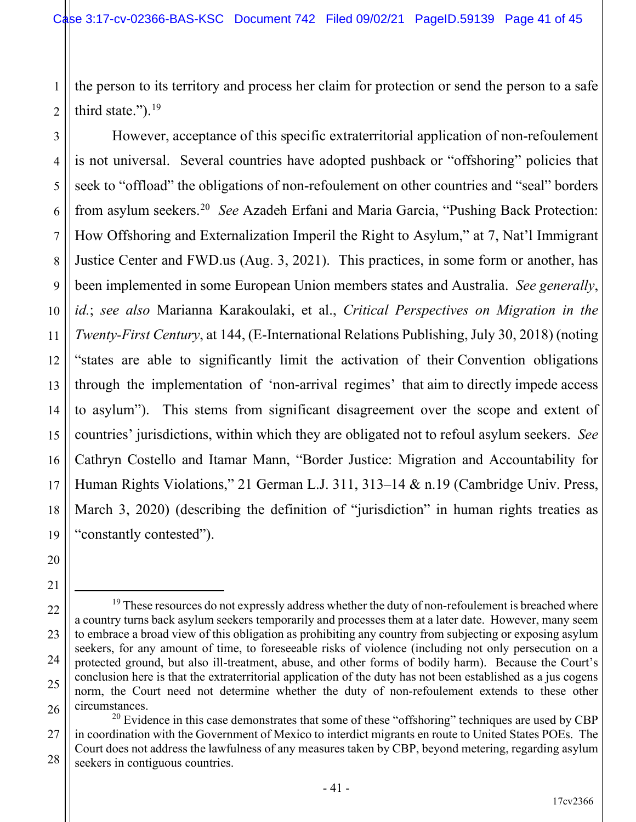1 2 the person to its territory and process her claim for protection or send the person to a safe third state."). $19$ 

3

4

5

6

7

8

9

10

11

17

18

20

21

12 13 14 15 16 19 However, acceptance of this specific extraterritorial application of non-refoulement is not universal. Several countries have adopted pushback or "offshoring" policies that seek to "offload" the obligations of non-refoulement on other countries and "seal" borders from asylum seekers.20 *See* Azadeh Erfani and Maria Garcia, "Pushing Back Protection: How Offshoring and Externalization Imperil the Right to Asylum," at 7, Nat'l Immigrant Justice Center and FWD.us (Aug. 3, 2021). This practices, in some form or another, has been implemented in some European Union members states and Australia. *See generally*, *id.*; *see also* Marianna Karakoulaki, et al., *Critical Perspectives on Migration in the Twenty-First Century*, at 144, (E-International Relations Publishing, July 30, 2018) (noting "states are able to significantly limit the activation of their Convention obligations through the implementation of 'non-arrival regimes' that aim to directly impede access to asylum"). This stems from significant disagreement over the scope and extent of countries' jurisdictions, within which they are obligated not to refoul asylum seekers. *See* Cathryn Costello and Itamar Mann, "Border Justice: Migration and Accountability for Human Rights Violations," 21 German L.J. 311, 313–14 & n.19 (Cambridge Univ. Press, March 3, 2020) (describing the definition of "jurisdiction" in human rights treaties as "constantly contested").

<sup>22</sup> 23 24 25 26  $19$  These resources do not expressly address whether the duty of non-refoulement is breached where a country turns back asylum seekers temporarily and processes them at a later date. However, many seem to embrace a broad view of this obligation as prohibiting any country from subjecting or exposing asylum seekers, for any amount of time, to foreseeable risks of violence (including not only persecution on a protected ground, but also ill-treatment, abuse, and other forms of bodily harm). Because the Court's conclusion here is that the extraterritorial application of the duty has not been established as a jus cogens norm, the Court need not determine whether the duty of non-refoulement extends to these other circumstances.

<sup>27</sup> 28  $^{20}$  Evidence in this case demonstrates that some of these "offshoring" techniques are used by CBP in coordination with the Government of Mexico to interdict migrants en route to United States POEs. The Court does not address the lawfulness of any measures taken by CBP, beyond metering, regarding asylum seekers in contiguous countries.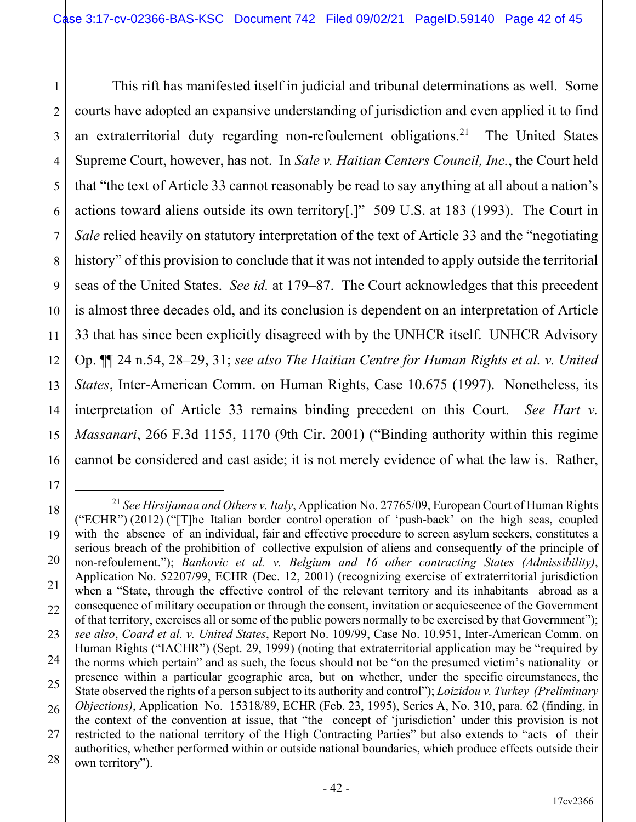1 2 3 4 5 6 7 8 9 10 11 12 13 14 15 16 This rift has manifested itself in judicial and tribunal determinations as well. Some courts have adopted an expansive understanding of jurisdiction and even applied it to find an extraterritorial duty regarding non-refoulement obligations.21 The United States Supreme Court, however, has not. In *Sale v. Haitian Centers Council, Inc.*, the Court held that "the text of Article 33 cannot reasonably be read to say anything at all about a nation's actions toward aliens outside its own territory[.]" 509 U.S. at 183 (1993). The Court in *Sale* relied heavily on statutory interpretation of the text of Article 33 and the "negotiating history" of this provision to conclude that it was not intended to apply outside the territorial seas of the United States. *See id.* at 179–87. The Court acknowledges that this precedent is almost three decades old, and its conclusion is dependent on an interpretation of Article 33 that has since been explicitly disagreed with by the UNHCR itself. UNHCR Advisory Op. ¶¶ 24 n.54, 28–29, 31; *see also The Haitian Centre for Human Rights et al. v. United States*, Inter-American Comm. on Human Rights, Case 10.675 (1997). Nonetheless, its interpretation of Article 33 remains binding precedent on this Court. *See Hart v. Massanari*, 266 F.3d 1155, 1170 (9th Cir. 2001) ("Binding authority within this regime cannot be considered and cast aside; it is not merely evidence of what the law is. Rather,

17

18

19

20

21

22

23

24

25

26

27

<sup>21</sup> *See Hirsijamaa and Others v. Italy*, Application No. 27765/09, European Court of Human Rights ("ECHR") (2012) ("[T]he Italian border control operation of 'push-back' on the high seas, coupled with the absence of an individual, fair and effective procedure to screen asylum seekers, constitutes a serious breach of the prohibition of collective expulsion of aliens and consequently of the principle of non-refoulement."); *Bankovic et al. v. Belgium and 16 other contracting States (Admissibility)*, Application No. 52207/99, ECHR (Dec. 12, 2001) (recognizing exercise of extraterritorial jurisdiction when a "State, through the effective control of the relevant territory and its inhabitants abroad as a consequence of military occupation or through the consent, invitation or acquiescence of the Government of that territory, exercises all or some of the public powers normally to be exercised by that Government"); *see also*, *Coard et al. v. United States*, Report No. 109/99, Case No. 10.951, Inter-American Comm. on Human Rights ("IACHR") (Sept. 29, 1999) (noting that extraterritorial application may be "required by the norms which pertain" and as such, the focus should not be "on the presumed victim's nationality or presence within a particular geographic area, but on whether, under the specific circumstances, the State observed the rights of a person subject to its authority and control"); *Loizidou v. Turkey (Preliminary Objections)*, Application No. 15318/89, ECHR (Feb. 23, 1995), Series A, No. 310, para. 62 (finding, in the context of the convention at issue, that "the concept of 'jurisdiction' under this provision is not restricted to the national territory of the High Contracting Parties" but also extends to "acts of their authorities, whether performed within or outside national boundaries, which produce effects outside their own territory").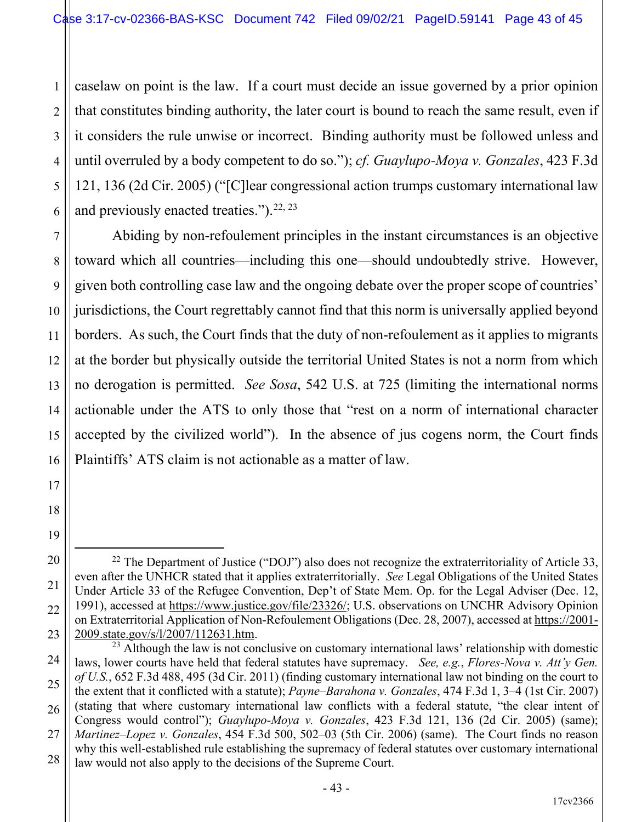1 2 3 4 5 6 caselaw on point is the law. If a court must decide an issue governed by a prior opinion that constitutes binding authority, the later court is bound to reach the same result, even if it considers the rule unwise or incorrect. Binding authority must be followed unless and until overruled by a body competent to do so."); *cf. Guaylupo-Moya v. Gonzales*, 423 F.3d 121, 136 (2d Cir. 2005) ("[C]lear congressional action trumps customary international law and previously enacted treaties.").  $22, 23$ 

7

8

9

10

11

12

13

14

15

16

17

18

19

20

21

22

23

Abiding by non-refoulement principles in the instant circumstances is an objective toward which all countries—including this one—should undoubtedly strive. However, given both controlling case law and the ongoing debate over the proper scope of countries' jurisdictions, the Court regrettably cannot find that this norm is universally applied beyond borders. As such, the Court finds that the duty of non-refoulement as it applies to migrants at the border but physically outside the territorial United States is not a norm from which no derogation is permitted. *See Sosa*, 542 U.S. at 725 (limiting the international norms actionable under the ATS to only those that "rest on a norm of international character accepted by the civilized world"). In the absence of jus cogens norm, the Court finds Plaintiffs' ATS claim is not actionable as a matter of law.

<sup>&</sup>lt;sup>22</sup> The Department of Justice ("DOJ") also does not recognize the extraterritoriality of Article 33, even after the UNHCR stated that it applies extraterritorially. *See* Legal Obligations of the United States Under Article 33 of the Refugee Convention, Dep't of State Mem. Op. for the Legal Adviser (Dec. 12, 1991), accessed at https://www.justice.gov/file/23326/; U.S. observations on UNCHR Advisory Opinion on Extraterritorial Application of Non-Refoulement Obligations (Dec. 28, 2007), accessed at https://2001- 2009.state.gov/s/l/2007/112631.htm.

<sup>24</sup> 25 26 27 28  $^{23}$  Although the law is not conclusive on customary international laws' relationship with domestic laws, lower courts have held that federal statutes have supremacy. *See, e.g.*, *Flores-Nova v. Att'y Gen. of U.S.*, 652 F.3d 488, 495 (3d Cir. 2011) (finding customary international law not binding on the court to the extent that it conflicted with a statute); *Payne–Barahona v. Gonzales*, 474 F.3d 1, 3–4 (1st Cir. 2007) (stating that where customary international law conflicts with a federal statute, "the clear intent of Congress would control"); *Guaylupo-Moya v. Gonzales*, 423 F.3d 121, 136 (2d Cir. 2005) (same); *Martinez–Lopez v. Gonzales*, 454 F.3d 500, 502–03 (5th Cir. 2006) (same). The Court finds no reason why this well-established rule establishing the supremacy of federal statutes over customary international law would not also apply to the decisions of the Supreme Court.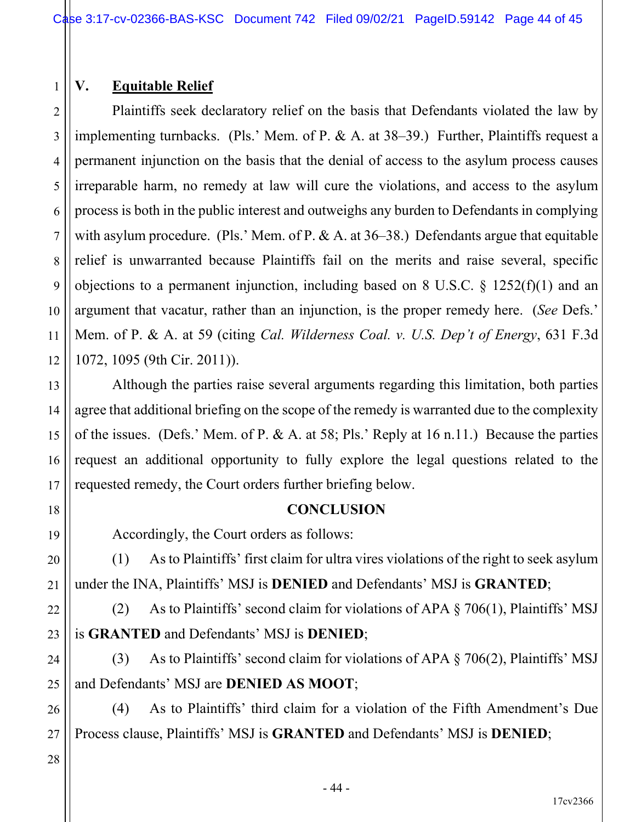## **V. Equitable Relief**

1

2

3

4

5

7

9

10

11

13

14

15

16

17

18

19

20

21

22

23

24

25

26

27

6 8 12 Plaintiffs seek declaratory relief on the basis that Defendants violated the law by implementing turnbacks. (Pls.' Mem. of P. & A. at 38–39.) Further, Plaintiffs request a permanent injunction on the basis that the denial of access to the asylum process causes irreparable harm, no remedy at law will cure the violations, and access to the asylum process is both in the public interest and outweighs any burden to Defendants in complying with asylum procedure. (Pls.' Mem. of P. & A. at 36–38.) Defendants argue that equitable relief is unwarranted because Plaintiffs fail on the merits and raise several, specific objections to a permanent injunction, including based on 8 U.S.C. § 1252(f)(1) and an argument that vacatur, rather than an injunction, is the proper remedy here. (*See* Defs.' Mem. of P. & A. at 59 (citing *Cal. Wilderness Coal. v. U.S. Dep't of Energy*, 631 F.3d 1072, 1095 (9th Cir. 2011)).

Although the parties raise several arguments regarding this limitation, both parties agree that additional briefing on the scope of the remedy is warranted due to the complexity of the issues. (Defs.' Mem. of P. & A. at 58; Pls.' Reply at 16 n.11.) Because the parties request an additional opportunity to fully explore the legal questions related to the requested remedy, the Court orders further briefing below.

#### **CONCLUSION**

Accordingly, the Court orders as follows:

(1) As to Plaintiffs' first claim for ultra vires violations of the right to seek asylum under the INA, Plaintiffs' MSJ is **DENIED** and Defendants' MSJ is **GRANTED**;

(2) As to Plaintiffs' second claim for violations of APA § 706(1), Plaintiffs' MSJ is **GRANTED** and Defendants' MSJ is **DENIED**;

(3) As to Plaintiffs' second claim for violations of APA § 706(2), Plaintiffs' MSJ and Defendants' MSJ are **DENIED AS MOOT**;

(4) As to Plaintiffs' third claim for a violation of the Fifth Amendment's Due Process clause, Plaintiffs' MSJ is **GRANTED** and Defendants' MSJ is **DENIED**;